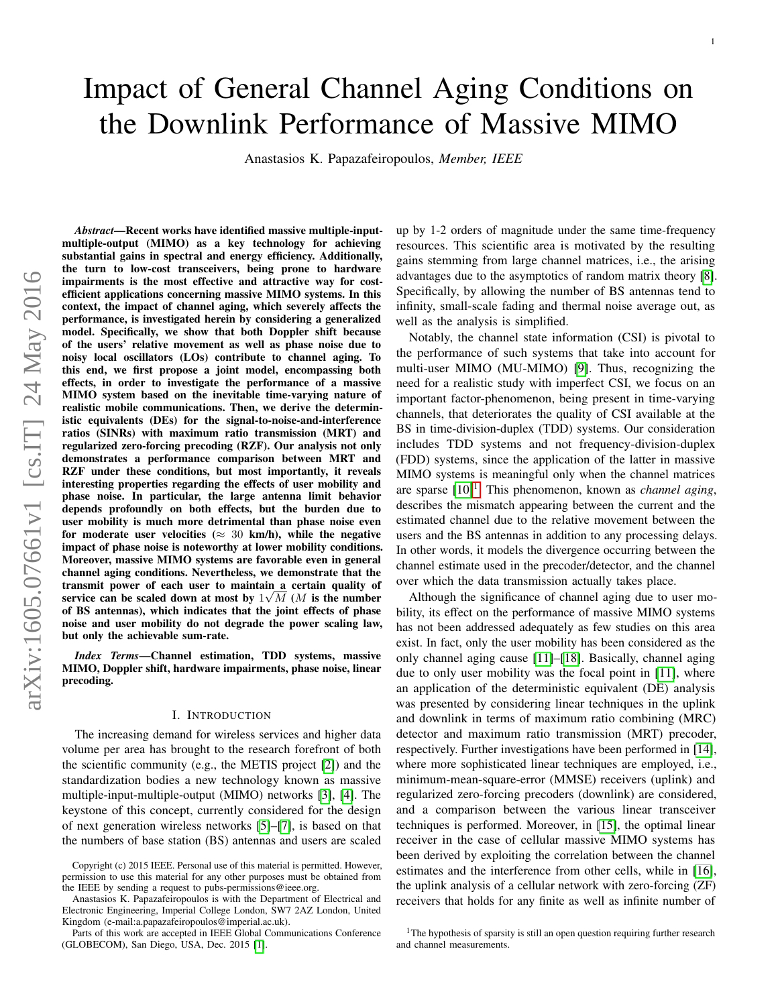# Impact of General Channel Aging Conditions on the Downlink Performance of Massive MIMO

Anastasios K. Papazafeiropoulos, *Member, IEEE*

*Abstract*—Recent works have identified massive multiple-inputmultiple-output (MIMO) as a key technology for achieving substantial gains in spectral and energy efficiency. Additionally, the turn to low-cost transceivers, being prone to hardware impairments is the most effective and attractive way for costefficient applications concerning massive MIMO systems. In this context, the impact of channel aging, which severely affects the performance, is investigated herein by considering a generalized model. Specifically, we show that both Doppler shift because of the users' relative movement as well as phase noise due to noisy local oscillators (LOs) contribute to channel aging. To this end, we first propose a joint model, encompassing both effects, in order to investigate the performance of a massive MIMO system based on the inevitable time-varying nature of realistic mobile communications. Then, we derive the deterministic equivalents (DEs) for the signal-to-noise-and-interference ratios (SINRs) with maximum ratio transmission (MRT) and regularized zero-forcing precoding (RZF). Our analysis not only demonstrates a performance comparison between MRT and RZF under these conditions, but most importantly, it reveals interesting properties regarding the effects of user mobility and phase noise. In particular, the large antenna limit behavior depends profoundly on both effects, but the burden due to user mobility is much more detrimental than phase noise even for moderate user velocities ( $\approx$  30 km/h), while the negative impact of phase noise is noteworthy at lower mobility conditions. Moreover, massive MIMO systems are favorable even in general channel aging conditions. Nevertheless, we demonstrate that the transmit power of each user to maintain a certain quality of service can be scaled down at most by  $1\sqrt{M}$  (*M* is the number of BS antennas), which indicates that the joint effects of phase noise and user mobility do not degrade the power scaling law, but only the achievable sum-rate.

*Index Terms*—Channel estimation, TDD systems, massive MIMO, Doppler shift, hardware impairments, phase noise, linear precoding.

# I. INTRODUCTION

The increasing demand for wireless services and higher data volume per area has brought to the research forefront of both the scientific community (e.g., the METIS project [\[2\]](#page-13-0)) and the standardization bodies a new technology known as massive multiple-input-multiple-output (MIMO) networks [\[3\]](#page-13-1), [\[4\]](#page-13-2). The keystone of this concept, currently considered for the design of next generation wireless networks [\[5\]](#page-13-3)–[\[7\]](#page-13-4), is based on that the numbers of base station (BS) antennas and users are scaled up by 1-2 orders of magnitude under the same time-frequency resources. This scientific area is motivated by the resulting gains stemming from large channel matrices, i.e., the arising advantages due to the asymptotics of random matrix theory [\[8\]](#page-13-6). Specifically, by allowing the number of BS antennas tend to infinity, small-scale fading and thermal noise average out, as well as the analysis is simplified.

Notably, the channel state information (CSI) is pivotal to the performance of such systems that take into account for multi-user MIMO (MU-MIMO) [\[9\]](#page-13-7). Thus, recognizing the need for a realistic study with imperfect CSI, we focus on an important factor-phenomenon, being present in time-varying channels, that deteriorates the quality of CSI available at the BS in time-division-duplex (TDD) systems. Our consideration includes TDD systems and not frequency-division-duplex (FDD) systems, since the application of the latter in massive MIMO systems is meaningful only when the channel matrices are sparse  $[10]$ <sup>[1](#page-0-0)</sup>. This phenomenon, known as *channel aging*, describes the mismatch appearing between the current and the estimated channel due to the relative movement between the users and the BS antennas in addition to any processing delays. In other words, it models the divergence occurring between the channel estimate used in the precoder/detector, and the channel over which the data transmission actually takes place.

Although the significance of channel aging due to user mobility, its effect on the performance of massive MIMO systems has not been addressed adequately as few studies on this area exist. In fact, only the user mobility has been considered as the only channel aging cause [\[11\]](#page-13-9)–[\[18\]](#page-13-10). Basically, channel aging due to only user mobility was the focal point in [\[11\]](#page-13-9), where an application of the deterministic equivalent (DE) analysis was presented by considering linear techniques in the uplink and downlink in terms of maximum ratio combining (MRC) detector and maximum ratio transmission (MRT) precoder, respectively. Further investigations have been performed in [\[14\]](#page-13-11), where more sophisticated linear techniques are employed, i.e., minimum-mean-square-error (MMSE) receivers (uplink) and regularized zero-forcing precoders (downlink) are considered, and a comparison between the various linear transceiver techniques is performed. Moreover, in [\[15\]](#page-13-12), the optimal linear receiver in the case of cellular massive MIMO systems has been derived by exploiting the correlation between the channel estimates and the interference from other cells, while in [\[16\]](#page-13-13), the uplink analysis of a cellular network with zero-forcing (ZF) receivers that holds for any finite as well as infinite number of

Copyright (c) 2015 IEEE. Personal use of this material is permitted. However, permission to use this material for any other purposes must be obtained from the IEEE by sending a request to pubs-permissions@ieee.org.

Anastasios K. Papazafeiropoulos is with the Department of Electrical and Electronic Engineering, Imperial College London, SW7 2AZ London, United Kingdom (e-mail:a.papazafeiropoulos@imperial.ac.uk).

Parts of this work are accepted in IEEE Global Communications Conference (GLOBECOM), San Diego, USA, Dec. 2015 [\[1\]](#page-13-5).

<span id="page-0-0"></span><sup>&</sup>lt;sup>1</sup>The hypothesis of sparsity is still an open question requiring further research and channel measurements.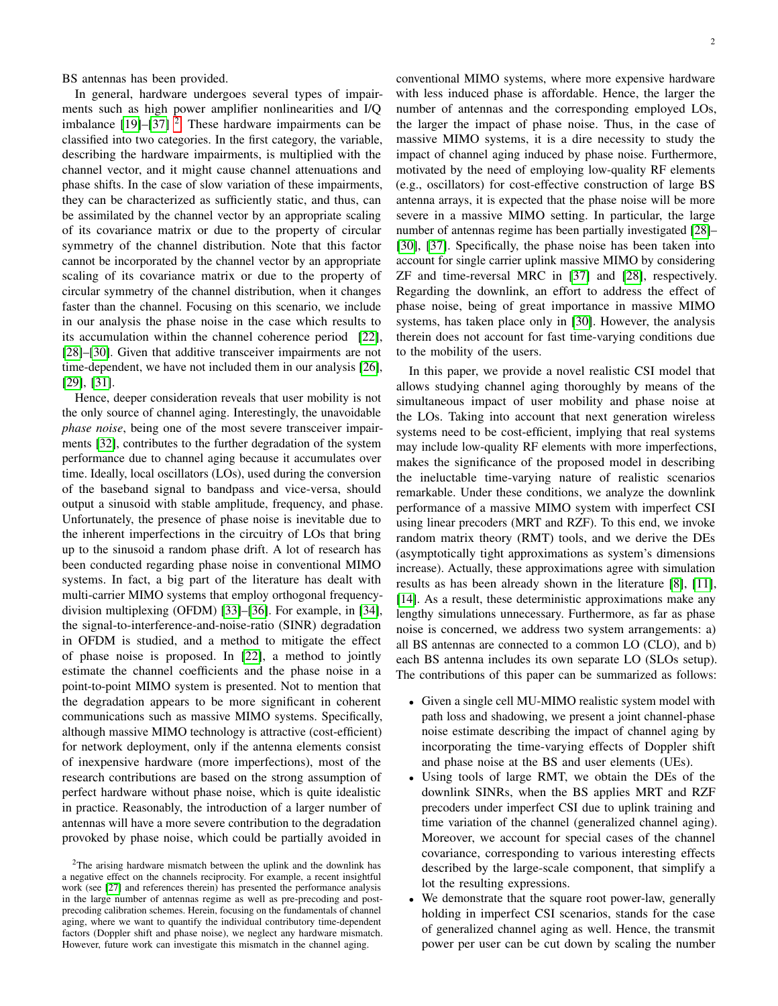BS antennas has been provided.

In general, hardware undergoes several types of impairments such as high power amplifier nonlinearities and I/Q imbalance  $[19]$ – $[37]$ <sup>[2](#page-1-0)</sup>. These hardware impairments can be classified into two categories. In the first category, the variable, describing the hardware impairments, is multiplied with the channel vector, and it might cause channel attenuations and phase shifts. In the case of slow variation of these impairments, they can be characterized as sufficiently static, and thus, can be assimilated by the channel vector by an appropriate scaling of its covariance matrix or due to the property of circular symmetry of the channel distribution. Note that this factor cannot be incorporated by the channel vector by an appropriate scaling of its covariance matrix or due to the property of circular symmetry of the channel distribution, when it changes faster than the channel. Focusing on this scenario, we include in our analysis the phase noise in the case which results to its accumulation within the channel coherence period [\[22\]](#page-13-16), [\[28\]](#page-13-17)–[\[30\]](#page-13-18). Given that additive transceiver impairments are not time-dependent, we have not included them in our analysis [\[26\]](#page-13-19), [\[29\]](#page-13-20), [\[31\]](#page-13-21).

Hence, deeper consideration reveals that user mobility is not the only source of channel aging. Interestingly, the unavoidable *phase noise*, being one of the most severe transceiver impairments [\[32\]](#page-13-22), contributes to the further degradation of the system performance due to channel aging because it accumulates over time. Ideally, local oscillators (LOs), used during the conversion of the baseband signal to bandpass and vice-versa, should output a sinusoid with stable amplitude, frequency, and phase. Unfortunately, the presence of phase noise is inevitable due to the inherent imperfections in the circuitry of LOs that bring up to the sinusoid a random phase drift. A lot of research has been conducted regarding phase noise in conventional MIMO systems. In fact, a big part of the literature has dealt with multi-carrier MIMO systems that employ orthogonal frequencydivision multiplexing (OFDM) [\[33\]](#page-13-23)–[\[36\]](#page-13-24). For example, in [\[34\]](#page-13-25), the signal-to-interference-and-noise-ratio (SINR) degradation in OFDM is studied, and a method to mitigate the effect of phase noise is proposed. In [\[22\]](#page-13-16), a method to jointly estimate the channel coefficients and the phase noise in a point-to-point MIMO system is presented. Not to mention that the degradation appears to be more significant in coherent communications such as massive MIMO systems. Specifically, although massive MIMO technology is attractive (cost-efficient) for network deployment, only if the antenna elements consist of inexpensive hardware (more imperfections), most of the research contributions are based on the strong assumption of perfect hardware without phase noise, which is quite idealistic in practice. Reasonably, the introduction of a larger number of antennas will have a more severe contribution to the degradation provoked by phase noise, which could be partially avoided in

conventional MIMO systems, where more expensive hardware with less induced phase is affordable. Hence, the larger the number of antennas and the corresponding employed LOs, the larger the impact of phase noise. Thus, in the case of massive MIMO systems, it is a dire necessity to study the impact of channel aging induced by phase noise. Furthermore, motivated by the need of employing low-quality RF elements (e.g., oscillators) for cost-effective construction of large BS antenna arrays, it is expected that the phase noise will be more severe in a massive MIMO setting. In particular, the large number of antennas regime has been partially investigated [\[28\]](#page-13-17)– [\[30\]](#page-13-18), [\[37\]](#page-13-15). Specifically, the phase noise has been taken into account for single carrier uplink massive MIMO by considering ZF and time-reversal MRC in [\[37\]](#page-13-15) and [\[28\]](#page-13-17), respectively. Regarding the downlink, an effort to address the effect of phase noise, being of great importance in massive MIMO systems, has taken place only in [\[30\]](#page-13-18). However, the analysis therein does not account for fast time-varying conditions due to the mobility of the users.

In this paper, we provide a novel realistic CSI model that allows studying channel aging thoroughly by means of the simultaneous impact of user mobility and phase noise at the LOs. Taking into account that next generation wireless systems need to be cost-efficient, implying that real systems may include low-quality RF elements with more imperfections, makes the significance of the proposed model in describing the ineluctable time-varying nature of realistic scenarios remarkable. Under these conditions, we analyze the downlink performance of a massive MIMO system with imperfect CSI using linear precoders (MRT and RZF). To this end, we invoke random matrix theory (RMT) tools, and we derive the DEs (asymptotically tight approximations as system's dimensions increase). Actually, these approximations agree with simulation results as has been already shown in the literature [\[8\]](#page-13-6), [\[11\]](#page-13-9), [\[14\]](#page-13-11). As a result, these deterministic approximations make any lengthy simulations unnecessary. Furthermore, as far as phase noise is concerned, we address two system arrangements: a) all BS antennas are connected to a common LO (CLO), and b) each BS antenna includes its own separate LO (SLOs setup). The contributions of this paper can be summarized as follows:

- Given a single cell MU-MIMO realistic system model with path loss and shadowing, we present a joint channel-phase noise estimate describing the impact of channel aging by incorporating the time-varying effects of Doppler shift and phase noise at the BS and user elements (UEs).
- Using tools of large RMT, we obtain the DEs of the downlink SINRs, when the BS applies MRT and RZF precoders under imperfect CSI due to uplink training and time variation of the channel (generalized channel aging). Moreover, we account for special cases of the channel covariance, corresponding to various interesting effects described by the large-scale component, that simplify a lot the resulting expressions.
- We demonstrate that the square root power-law, generally holding in imperfect CSI scenarios, stands for the case of generalized channel aging as well. Hence, the transmit power per user can be cut down by scaling the number

<span id="page-1-0"></span><sup>&</sup>lt;sup>2</sup>The arising hardware mismatch between the uplink and the downlink has a negative effect on the channels reciprocity. For example, a recent insightful work (see [\[27\]](#page-13-26) and references therein) has presented the performance analysis in the large number of antennas regime as well as pre-precoding and postprecoding calibration schemes. Herein, focusing on the fundamentals of channel aging, where we want to quantify the individual contributory time-dependent factors (Doppler shift and phase noise), we neglect any hardware mismatch. However, future work can investigate this mismatch in the channel aging.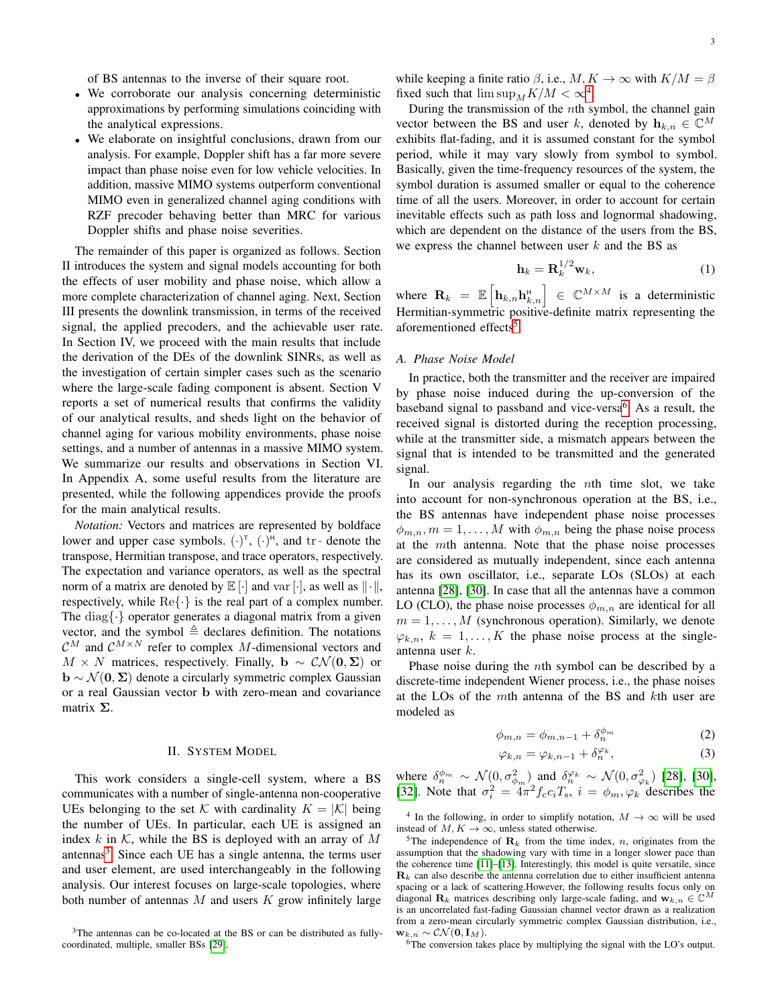of BS antennas to the inverse of their square root.

- We corroborate our analysis concerning deterministic approximations by performing simulations coinciding with the analytical expressions.
- We elaborate on insightful conclusions, drawn from our analysis. For example, Doppler shift has a far more severe impact than phase noise even for low vehicle velocities. In addition, massive MIMO systems outperform conventional MIMO even in generalized channel aging conditions with RZF precoder behaving better than MRC for various Doppler shifts and phase noise severities.

The remainder of this paper is organized as follows. Section II introduces the system and signal models accounting for both the effects of user mobility and phase noise, which allow a more complete characterization of channel aging. Next, Section III presents the downlink transmission, in terms of the received signal, the applied precoders, and the achievable user rate. In Section IV, we proceed with the main results that include the derivation of the DEs of the downlink SINRs, as well as the investigation of certain simpler cases such as the scenario where the large-scale fading component is absent. Section V reports a set of numerical results that confirms the validity of our analytical results, and sheds light on the behavior of channel aging for various mobility environments, phase noise settings, and a number of antennas in a massive MIMO system. We summarize our results and observations in Section VI. In Appendix A, some useful results from the literature are presented, while the following appendices provide the proofs for the main analytical results.

*Notation:* Vectors and matrices are represented by boldface lower and upper case symbols.  $(\cdot)^{\dagger}$ ,  $(\cdot)^{\dagger}$ , and  $\mathrm{tr} \cdot$  denote the transpose, Hermitian transpose, and trace operators, respectively. The expectation and variance operators, as well as the spectral norm of a matrix are denoted by  $\mathbb{E}[\cdot]$  and var  $[\cdot]$ , as well as  $\|\cdot\|$ , respectively, while  $\text{Re}\{\cdot\}$  is the real part of a complex number. The diag $\{\cdot\}$  operator generates a diagonal matrix from a given vector, and the symbol  $\triangleq$  declares definition. The notations  $\mathcal{C}^M$  and  $\mathcal{C}^{M \times N}$  refer to complex M-dimensional vectors and  $M \times N$  matrices, respectively. Finally,  $\mathbf{b} \sim \mathcal{CN}(\mathbf{0}, \Sigma)$  or  $\mathbf{b} \sim \mathcal{N}(\mathbf{0}, \mathbf{\Sigma})$  denote a circularly symmetric complex Gaussian or a real Gaussian vector b with zero-mean and covariance matrix  $\Sigma$ .

#### II. SYSTEM MODEL

This work considers a single-cell system, where a BS communicates with a number of single-antenna non-cooperative UEs belonging to the set K with cardinality  $K = |K|$  being the number of UEs. In particular, each UE is assigned an index  $k$  in  $K$ , while the BS is deployed with an array of  $M$ antennas<sup>[3](#page-2-0)</sup>. Since each UE has a single antenna, the terms user and user element, are used interchangeably in the following analysis. Our interest focuses on large-scale topologies, where both number of antennas  $M$  and users  $K$  grow infinitely large while keeping a finite ratio  $\beta$ , i.e.,  $M, K \to \infty$  with  $K/M = \beta$ fixed such that  $\limsup_M K/M < \infty^4$  $\limsup_M K/M < \infty^4$ .

During the transmission of the  $n$ th symbol, the channel gain vector between the BS and user k, denoted by  $\mathbf{h}_{k,n} \in \mathbb{C}^{M}$ exhibits flat-fading, and it is assumed constant for the symbol period, while it may vary slowly from symbol to symbol. Basically, given the time-frequency resources of the system, the symbol duration is assumed smaller or equal to the coherence time of all the users. Moreover, in order to account for certain inevitable effects such as path loss and lognormal shadowing, which are dependent on the distance of the users from the BS, we express the channel between user  $k$  and the BS as

$$
\mathbf{h}_k = \mathbf{R}_k^{1/2} \mathbf{w}_k,\tag{1}
$$

where  $\mathbf{R}_k = \mathbb{E} \left[ \mathbf{h}_{k,n} \mathbf{h}_{k,n}^{\text{H}} \right] \in \mathbb{C}^{M \times M}$  is a deterministic Hermitian-symmetric positive-definite matrix representing the aforementioned effects<sup>[5](#page-2-2)</sup>.

# *A. Phase Noise Model*

In practice, both the transmitter and the receiver are impaired by phase noise induced during the up-conversion of the baseband signal to passband and vice-versa<sup>[6](#page-2-3)</sup>. As a result, the received signal is distorted during the reception processing, while at the transmitter side, a mismatch appears between the signal that is intended to be transmitted and the generated signal.

In our analysis regarding the nth time slot, we take into account for non-synchronous operation at the BS, i.e., the BS antennas have independent phase noise processes  $\phi_{m,n}, m = 1, \ldots, M$  with  $\phi_{m,n}$  being the phase noise process at the mth antenna. Note that the phase noise processes are considered as mutually independent, since each antenna has its own oscillator, i.e., separate LOs (SLOs) at each antenna [\[28\]](#page-13-17), [\[30\]](#page-13-18). In case that all the antennas have a common LO (CLO), the phase noise processes  $\phi_{m,n}$  are identical for all  $m = 1, \ldots, M$  (synchronous operation). Similarly, we denote  $\varphi_{k,n}, k = 1, \ldots, K$  the phase noise process at the singleantenna user k.

Phase noise during the nth symbol can be described by a discrete-time independent Wiener process, i.e., the phase noises at the LOs of the mth antenna of the BS and kth user are modeled as

$$
\phi_{m,n} = \phi_{m,n-1} + \delta_n^{\phi_m} \tag{2}
$$

<span id="page-2-5"></span><span id="page-2-4"></span>
$$
\varphi_{k,n} = \varphi_{k,n-1} + \delta_n^{\varphi_k},\tag{3}
$$

where  $\delta_n^{\phi_m} \sim \mathcal{N}(0, \sigma_{\phi_m}^2)$  and  $\delta_n^{\varphi_k} \sim \mathcal{N}(0, \sigma_{\varphi_k}^2)$  [\[28\]](#page-13-17), [\[30\]](#page-13-18), [\[32\]](#page-13-22). Note that  $\sigma_i^2 = 4\pi^2 f_c c_i T_s$ ,  $i = \phi_m, \varphi_k$  describes the

<span id="page-2-1"></span><sup>4</sup> In the following, in order to simplify notation,  $M \to \infty$  will be used instead of  $M, K \to \infty$ , unless stated otherwise.

<span id="page-2-2"></span><sup>5</sup>The independence of  $\mathbf{R}_k$  from the time index, *n*, originates from the assumption that the shadowing vary with time in a longer slower pace than the coherence time [\[11\]](#page-13-9)–[\[13\]](#page-13-27). Interestingly, this model is quite versatile, since  $\mathbf{R}_k$  can also describe the antenna correlation due to either insufficient antenna spacing or a lack of scattering.However, the following results focus only on diagonal  $\mathbf{R}_k$  matrices describing only large-scale fading, and  $\mathbf{w}_{k,n} \in \mathbb{C}^M$ is an uncorrelated fast-fading Gaussian channel vector drawn as a realization from a zero-mean circularly symmetric complex Gaussian distribution, i.e.,  $\mathbf{w}_{k,n} \sim \mathcal{CN}(\mathbf{0}, \mathbf{I}_M).$ 

<span id="page-2-3"></span> $\frac{67}{6}$ The conversion takes place by multiplying the signal with the LO's output.

<span id="page-2-0"></span><sup>&</sup>lt;sup>3</sup>The antennas can be co-located at the BS or can be distributed as fullycoordinated, multiple, smaller BSs [\[29\]](#page-13-20).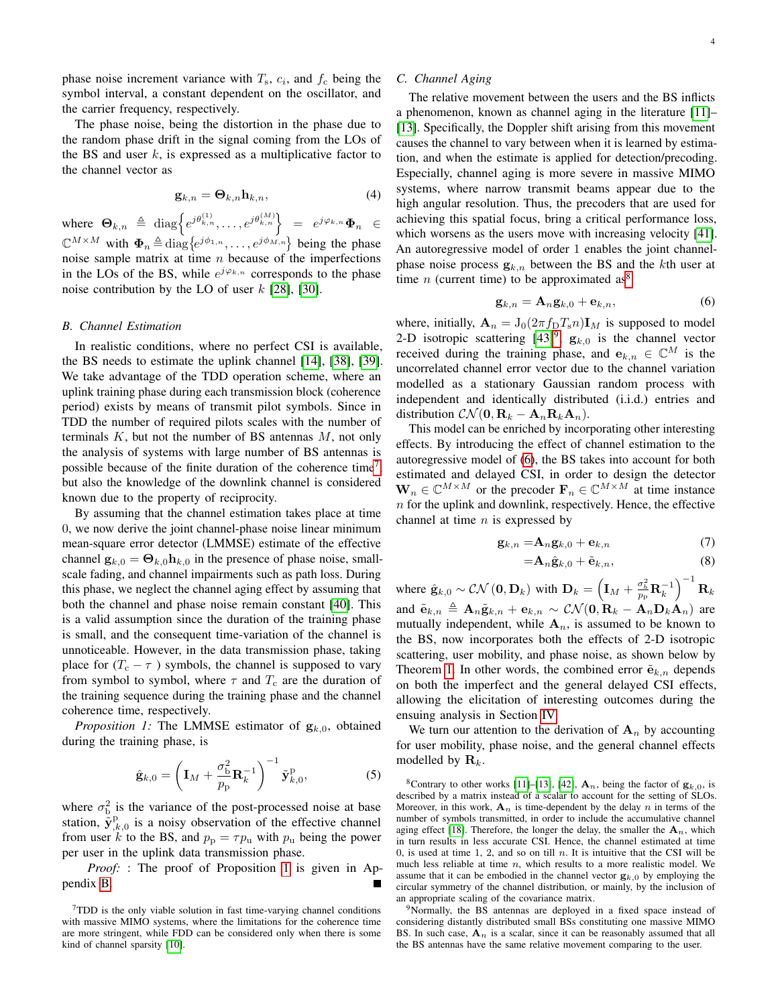phase noise increment variance with  $T_s$ ,  $c_i$ , and  $f_c$  being the symbol interval, a constant dependent on the oscillator, and the carrier frequency, respectively.

The phase noise, being the distortion in the phase due to the random phase drift in the signal coming from the LOs of the BS and user  $k$ , is expressed as a multiplicative factor to the channel vector as

$$
\mathbf{g}_{k,n} = \mathbf{\Theta}_{k,n} \mathbf{h}_{k,n},\tag{4}
$$

where  $\Theta_{k,n} \triangleq \text{diag}\Big\{e^{j\theta_{k,n}^{(1)}}, \ldots, e^{j\theta_{k,n}^{(M)}}\Big\} = e^{j\varphi_{k,n}}\Phi_n \in$  $\mathbb{C}^{M \times M}$  with  $\Phi_n \triangleq \text{diag}\{e^{j\phi_{1,n}}, \dots, e^{j\phi_{M,n}}\}$  being the phase noise sample matrix at time  $n$  because of the imperfections in the LOs of the BS, while  $e^{j\varphi_{k,n}}$  corresponds to the phase noise contribution by the LO of user  $k$  [\[28\]](#page-13-17), [\[30\]](#page-13-18).

#### *B. Channel Estimation*

In realistic conditions, where no perfect CSI is available, the BS needs to estimate the uplink channel [\[14\]](#page-13-11), [\[38\]](#page-14-0), [\[39\]](#page-14-1). We take advantage of the TDD operation scheme, where an uplink training phase during each transmission block (coherence period) exists by means of transmit pilot symbols. Since in TDD the number of required pilots scales with the number of terminals  $K$ , but not the number of BS antennas  $M$ , not only the analysis of systems with large number of BS antennas is possible because of the finite duration of the coherence time<sup>[7](#page-3-0)</sup>, but also the knowledge of the downlink channel is considered known due to the property of reciprocity.

By assuming that the channel estimation takes place at time 0, we now derive the joint channel-phase noise linear minimum mean-square error detector (LMMSE) estimate of the effective channel  $\mathbf{g}_{k,0} = \mathbf{\Theta}_{k,0} \mathbf{h}_{k,0}$  in the presence of phase noise, smallscale fading, and channel impairments such as path loss. During this phase, we neglect the channel aging effect by assuming that both the channel and phase noise remain constant [\[40\]](#page-14-2). This is a valid assumption since the duration of the training phase is small, and the consequent time-variation of the channel is unnoticeable. However, in the data transmission phase, taking place for  $(T_c - \tau)$  symbols, the channel is supposed to vary from symbol to symbol, where  $\tau$  and  $T_c$  are the duration of the training sequence during the training phase and the channel coherence time, respectively.

*Proposition 1:* The LMMSE estimator of  $g_{k,0}$ , obtained during the training phase, is

$$
\hat{\mathbf{g}}_{k,0} = \left(\mathbf{I}_M + \frac{\sigma_{\rm b}^2}{p_{\rm p}} \mathbf{R}_k^{-1}\right)^{-1} \tilde{\mathbf{y}}_{k,0}^{\rm p},\tag{5}
$$

where  $\sigma_{\rm b}^2$  is the variance of the post-processed noise at base station,  $\tilde{\mathbf{y}}_{k,0}^{\text{p}}$  is a noisy observation of the effective channel from user k to the BS, and  $p_p = \tau p_u$  with  $p_u$  being the power per user in the uplink data transmission phase.

*Proof:* : The proof of Proposition [1](#page-3-1) is given in Appendix [B.](#page-11-0)

#### *C. Channel Aging*

The relative movement between the users and the BS inflicts a phenomenon, known as channel aging in the literature [\[11\]](#page-13-9)– [\[13\]](#page-13-27). Specifically, the Doppler shift arising from this movement causes the channel to vary between when it is learned by estimation, and when the estimate is applied for detection/precoding. Especially, channel aging is more severe in massive MIMO systems, where narrow transmit beams appear due to the high angular resolution. Thus, the precoders that are used for achieving this spatial focus, bring a critical performance loss, which worsens as the users move with increasing velocity [\[41\]](#page-14-3). An autoregressive model of order 1 enables the joint channelphase noise process  $g_{k,n}$  between the BS and the kth user at time  $n$  (current time) to be approximated as<sup>[8](#page-3-2)</sup>

<span id="page-3-4"></span>
$$
\mathbf{g}_{k,n} = \mathbf{A}_n \mathbf{g}_{k,0} + \mathbf{e}_{k,n},\tag{6}
$$

where, initially,  $\mathbf{A}_n = J_0(2\pi f_\text{D}T_s n)\mathbf{I}_M$  is supposed to model 2-D isotropic scattering  $[43]$ <sup>[9](#page-3-3)</sup>,  $g_{k,0}$  is the channel vector received during the training phase, and  $e_{k,n} \in \mathbb{C}^M$  is the uncorrelated channel error vector due to the channel variation modelled as a stationary Gaussian random process with independent and identically distributed (i.i.d.) entries and distribution  $\mathcal{CN}(\mathbf{0}, \mathbf{R}_k - \mathbf{A}_n \mathbf{R}_k \mathbf{A}_n)$ .

This model can be enriched by incorporating other interesting effects. By introducing the effect of channel estimation to the autoregressive model of [\(6\)](#page-3-4), the BS takes into account for both estimated and delayed CSI, in order to design the detector  $\mathbf{W}_n \in \mathbb{C}^{M \times M}$  or the precoder  $\mathbf{F}_n \in \mathbb{C}^{M \times M}$  at time instance  $n$  for the uplink and downlink, respectively. Hence, the effective channel at time  $n$  is expressed by

$$
\mathbf{g}_{k,n} = \! \mathbf{A}_n \mathbf{g}_{k,0} + \mathbf{e}_{k,n} \tag{7}
$$

<span id="page-3-5"></span>
$$
=\mathbf{A}_{n}\hat{\mathbf{g}}_{k,0}+\tilde{\mathbf{e}}_{k,n},\tag{8}
$$

where  $\hat{\mathbf{g}}_{k,0} \sim \mathcal{CN}(\mathbf{0}, \mathbf{D}_k)$  with  $\mathbf{D}_k = \left(\mathbf{I}_M + \frac{\sigma_b^2}{p_\text{p}} \mathbf{R}_k^{-1}\right)^{-1} \mathbf{R}_k$ and  $\tilde{\mathbf{e}}_{k,n} \triangleq \mathbf{A}_n \tilde{\mathbf{g}}_{k,n} + \mathbf{e}_{k,n} \sim \mathcal{CN}(\mathbf{0}, \mathbf{R}_k - \mathbf{A}_n \mathbf{D}_k \mathbf{A}_n)$  are mutually independent, while  $A_n$ , is assumed to be known to the BS, now incorporates both the effects of 2-D isotropic scattering, user mobility, and phase noise, as shown below by Theorem [1.](#page-3-1) In other words, the combined error  $\tilde{\mathbf{e}}_{k,n}$  depends on both the imperfect and the general delayed CSI effects, allowing the elicitation of interesting outcomes during the ensuing analysis in Section [IV.](#page-5-0)

<span id="page-3-1"></span>We turn our attention to the derivation of  $A_n$  by accounting for user mobility, phase noise, and the general channel effects modelled by  $\mathbf{R}_k$ .

<span id="page-3-3"></span><sup>9</sup>Normally, the BS antennas are deployed in a fixed space instead of considering distantly distributed small BSs constituting one massive MIMO BS. In such case,  $A_n$  is a scalar, since it can be reasonably assumed that all the BS antennas have the same relative movement comparing to the user.

<span id="page-3-0"></span><sup>7</sup>TDD is the only viable solution in fast time-varying channel conditions with massive MIMO systems, where the limitations for the coherence time are more stringent, while FDD can be considered only when there is some kind of channel sparsity [\[10\]](#page-13-8).

<span id="page-3-2"></span><sup>&</sup>lt;sup>8</sup>Contrary to other works [\[11\]](#page-13-9)–[\[13\]](#page-13-27), [\[42\]](#page-14-5),  $\mathbf{A}_n$ , being the factor of  $\mathbf{g}_{k,0}$ , is described by a matrix instead of a scalar to account for the setting of SLOs. Moreover, in this work,  $A_n$  is time-dependent by the delay n in terms of the number of symbols transmitted, in order to include the accumulative channel aging effect [\[18\]](#page-13-10). Therefore, the longer the delay, the smaller the  $A_n$ , which in turn results in less accurate CSI. Hence, the channel estimated at time 0, is used at time 1, 2, and so on till n. It is intuitive that the CSI will be much less reliable at time  $n$ , which results to a more realistic model. We assume that it can be embodied in the channel vector  $\mathbf{g}_{k,0}$  by employing the circular symmetry of the channel distribution, or mainly, by the inclusion of an appropriate scaling of the covariance matrix.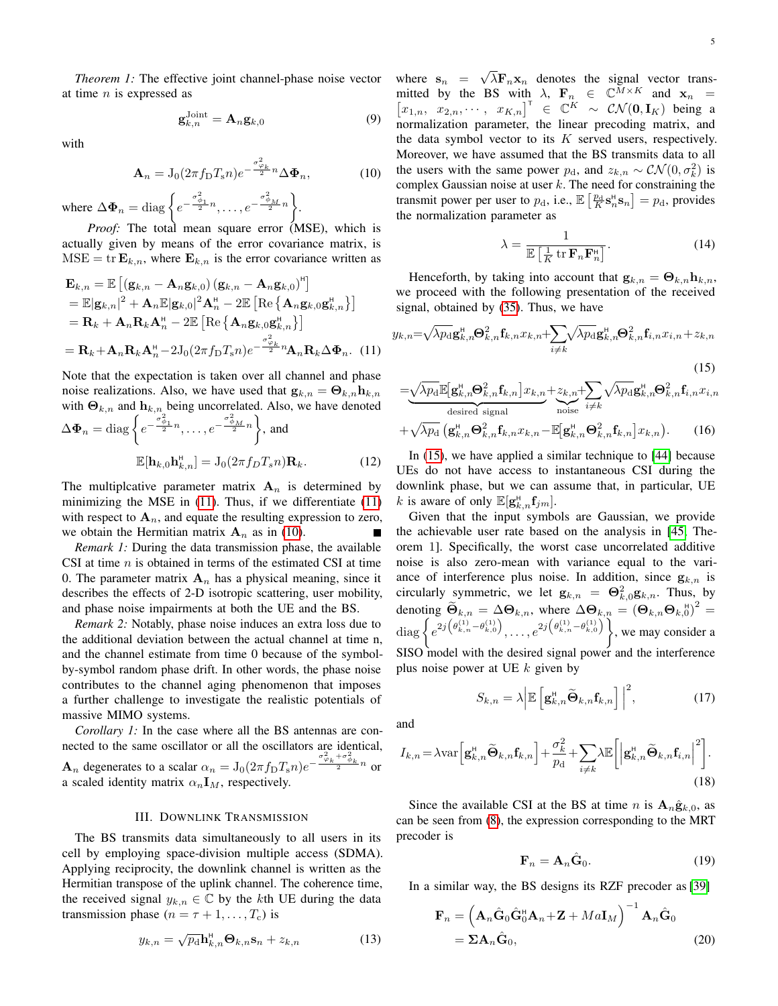*Theorem 1:* The effective joint channel-phase noise vector at time  $n$  is expressed as

$$
\mathbf{g}_{k,n}^{\text{Joint}} = \mathbf{A}_n \mathbf{g}_{k,0} \tag{9}
$$

with

$$
\mathbf{A}_n = \mathbf{J}_0(2\pi f_\mathcal{D} T_s n) e^{-\frac{\sigma_{\varphi_k}^2}{2}n} \Delta \mathbf{\Phi}_n, \tag{10}
$$

where  $\Delta \mathbf{\Phi}_n = \text{diag}\left\{e^{-\frac{\sigma_{\phi_1}^2}{2}n}, \ldots, e^{-\frac{\sigma_{\phi_M}^2}{2}n}\right\}.$ 

*Proof:* The total mean square error (MSE), which is actually given by means of the error covariance matrix, is  $MSE = \text{tr } \mathbf{E}_{k,n}$ , where  $\mathbf{E}_{k,n}$  is the error covariance written as

$$
\mathbf{E}_{k,n} = \mathbb{E}\left[\left(\mathbf{g}_{k,n} - \mathbf{A}_n \mathbf{g}_{k,0}\right)\left(\mathbf{g}_{k,n} - \mathbf{A}_n \mathbf{g}_{k,0}\right)^{\mathsf{H}}\right] \n= \mathbb{E}|\mathbf{g}_{k,n}|^2 + \mathbf{A}_n \mathbb{E}|\mathbf{g}_{k,0}|^2 \mathbf{A}_n^{\mathsf{H}} - 2\mathbb{E}\left[\text{Re}\left\{\mathbf{A}_n \mathbf{g}_{k,0} \mathbf{g}_{k,n}^{\mathsf{H}}\right\}\right] \n= \mathbf{R}_k + \mathbf{A}_n \mathbf{R}_k \mathbf{A}_n^{\mathsf{H}} - 2\mathbb{E}\left[\text{Re}\left\{\mathbf{A}_n \mathbf{g}_{k,0} \mathbf{g}_{k,n}^{\mathsf{H}}\right\}\right] \n= \mathbf{R}_k + \mathbf{A}_n \mathbf{R}_k \mathbf{A}_n^{\mathsf{H}} - 2\mathbf{J}_0(2\pi f_\text{D} T_s n) e^{-\frac{\sigma_{\varphi_k}^2}{2}n} \mathbf{A}_n \mathbf{R}_k \Delta \Phi_n.
$$
\n(11)

Note that the expectation is taken over all channel and phase noise realizations. Also, we have used that  $\mathbf{g}_{k,n} = \mathbf{\Theta}_{k,n} \mathbf{h}_{k,n}$ with  $\mathbf{\Theta}_{k,n}$  and  $\mathbf{h}_{k,n}$  being uncorrelated. Also, we have denoted  $\Delta \mathbf{\Phi}_n = \text{diag}\left\{e^{-\frac{\sigma_{\phi_1}^2}{2}n},\ldots,e^{-\frac{\sigma_{\phi_M}^2}{2}n}\right\}$ , and

$$
\mathbb{E}[\mathbf{h}_{k,0}\mathbf{h}_{k,n}^{\mathsf{H}}] = \mathcal{J}_0(2\pi f_D T_s n) \mathbf{R}_k.
$$
 (12)

The multiplcative parameter matrix  $A_n$  is determined by minimizing the MSE in [\(11\)](#page-4-0). Thus, if we differentiate [\(11\)](#page-4-0) with respect to  $A_n$ , and equate the resulting expression to zero, we obtain the Hermitian matrix  $A_n$  as in [\(10\)](#page-4-1).

*Remark 1:* During the data transmission phase, the available CSI at time  $n$  is obtained in terms of the estimated CSI at time 0. The parameter matrix  $A_n$  has a physical meaning, since it describes the effects of 2-D isotropic scattering, user mobility, and phase noise impairments at both the UE and the BS.

*Remark 2:* Notably, phase noise induces an extra loss due to the additional deviation between the actual channel at time n, and the channel estimate from time 0 because of the symbolby-symbol random phase drift. In other words, the phase noise contributes to the channel aging phenomenon that imposes a further challenge to investigate the realistic potentials of massive MIMO systems.

*Corollary 1:* In the case where all the BS antennas are connected to the same oscillator or all the oscillators are identical,  $\mathbf{A}_n$  degenerates to a scalar  $\alpha_n = \mathrm{J}_0(2\pi f_\mathrm{D} T_s n) e^{-\frac{\sigma_{\varphi_k}^2 + \sigma_{\phi_k}^2}{2} n}$  or a scaled identity matrix  $\alpha_n \mathbf{I}_M$ , respectively.

# III. DOWNLINK TRANSMISSION

The BS transmits data simultaneously to all users in its cell by employing space-division multiple access (SDMA). Applying reciprocity, the downlink channel is written as the Hermitian transpose of the uplink channel. The coherence time, the received signal  $y_{k,n} \in \mathbb{C}$  by the kth UE during the data transmission phase  $(n = \tau + 1, \ldots, T_c)$  is

$$
y_{k,n} = \sqrt{p_{\rm d}} \mathbf{h}_{k,n}^{\rm H} \mathbf{\Theta}_{k,n} \mathbf{s}_n + z_{k,n} \tag{13}
$$

<span id="page-4-1"></span>where  $s_n =$ √  $\lambda$ **F**<sub>n</sub>**x**<sub>n</sub> denotes the signal vector transmitted by the BS with  $\lambda$ ,  $\mathbf{F}_n \in \mathbb{C}^{\bar{M} \times K}$  and  $\mathbf{x}_n =$  $[x_{1,n}, x_{2,n}, \cdots, x_{K,n}]^{\top} \in \mathbb{C}^{K} \sim \mathcal{CN}(\mathbf{0}, \mathbf{I}_{K})$  being a normalization parameter, the linear precoding matrix, and the data symbol vector to its  $K$  served users, respectively. Moreover, we have assumed that the BS transmits data to all the users with the same power  $p_d$ , and  $z_{k,n} \sim \mathcal{CN}(0, \sigma_k^2)$  is complex Gaussian noise at user  $k$ . The need for constraining the transmit power per user to  $p_d$ , i.e.,  $\mathbb{E}\left[\frac{p_d}{K} \mathbf{s}_n^H \mathbf{s}_n\right] = p_d$ , provides the normalization parameter as

<span id="page-4-6"></span><span id="page-4-4"></span><span id="page-4-2"></span>
$$
\lambda = \frac{1}{\mathbb{E}\left[\frac{1}{K} \operatorname{tr} \mathbf{F}_n \mathbf{F}_n^{\mathrm{H}}\right]}.
$$
\n(14)

Henceforth, by taking into account that  $\mathbf{g}_{k,n} = \mathbf{\Theta}_{k,n} \mathbf{h}_{k,n}$ , we proceed with the following presentation of the received signal, obtained by [\(35\)](#page-8-0). Thus, we have

<span id="page-4-0"></span>
$$
y_{k,n} = \sqrt{\lambda p_{\rm d}} \mathbf{g}_{k,n}^{\rm H} \mathbf{\Theta}_{k,n}^{2} \mathbf{f}_{k,n} x_{k,n} + \sum_{i \neq k} \sqrt{\lambda p_{\rm d}} \mathbf{g}_{k,n}^{\rm H} \mathbf{\Theta}_{k,n}^{2} \mathbf{f}_{i,n} x_{i,n} + z_{k,n}
$$
\n(15)

$$
= \underbrace{\sqrt{\lambda p_{\rm d}} \mathbb{E}[\mathbf{g}_{k,n}^{\rm H} \mathbf{\Theta}_{k,n}^{2} \mathbf{f}_{k,n}] x_{k,n}}_{\text{desired signal}} + \underbrace{\sum_{i \neq k} \sqrt{\lambda p_{\rm d}} \mathbf{g}_{k,n}^{\rm H} \mathbf{\Theta}_{k,n}^{2} \mathbf{f}_{i,n} x_{i,n}}_{\text{noise}} + \sqrt{\lambda p_{\rm d}} \left( \mathbf{g}_{k,n}^{\rm H} \mathbf{\Theta}_{k,n}^{2} \mathbf{f}_{k,n} x_{k,n} - \mathbb{E}[\mathbf{g}_{k,n}^{\rm H} \mathbf{\Theta}_{k,n}^{2} \mathbf{f}_{k,n}] x_{k,n} \right). \tag{16}
$$

In [\(15\)](#page-4-2), we have applied a similar technique to [\[44\]](#page-14-6) because UEs do not have access to instantaneous CSI during the downlink phase, but we can assume that, in particular, UE k is aware of only  $\mathbb{E}[\mathbf{g}_{k,n}^{\text{H}}\mathbf{f}_{jm}].$ 

Given that the input symbols are Gaussian, we provide the achievable user rate based on the analysis in [\[45,](#page-14-7) Theorem 1]. Specifically, the worst case uncorrelated additive noise is also zero-mean with variance equal to the variance of interference plus noise. In addition, since  $g_{k,n}$  is circularly symmetric, we let  $\mathbf{g}_{k,n} = \mathbf{\Theta}_{k,0}^2 \mathbf{g}_{k,n}$ . Thus, by denoting  $\widetilde{\Theta}_{k,n} = \Delta \Theta_{k,n}$ , where  $\Delta \Theta_{k,n} = (\Theta_{k,n} \Theta_{k,n})^2 =$ diag  $\left\{e^{2j\left(\theta_{k,n}^{(1)}-\theta_{k,0}^{(1)}\right)}, \ldots, e^{2j\left(\theta_{k,n}^{(1)}-\theta_{k,0}^{(1)}\right)}\right\}$ , we may consider a SISO model with the desired signal power and the interference plus noise power at UE  $k$  given by

$$
S_{k,n} = \lambda \Big| \mathbb{E} \left[ \mathbf{g}_{k,n}^{\mathsf{H}} \widetilde{\mathbf{\Theta}}_{k,n} \mathbf{f}_{k,n} \right] \Big|^2, \tag{17}
$$

and

$$
I_{k,n} = \lambda \text{var}\left[\mathbf{g}_{k,n}^{\text{H}}\widetilde{\mathbf{\Theta}}_{k,n}\mathbf{f}_{k,n}\right] + \frac{\sigma_k^2}{p_\text{d}} + \sum_{i \neq k} \lambda \mathbb{E}\left[\left|\mathbf{g}_{k,n}^{\text{H}}\widetilde{\mathbf{\Theta}}_{k,n}\mathbf{f}_{i,n}\right|^2\right].
$$
\n(18)

Since the available CSI at the BS at time n is  $A_n \hat{g}_{k,0}$ , as can be seen from [\(8\)](#page-3-5), the expression corresponding to the MRT precoder is

<span id="page-4-7"></span><span id="page-4-5"></span><span id="page-4-3"></span>
$$
\mathbf{F}_n = \mathbf{A}_n \hat{\mathbf{G}}_0. \tag{19}
$$

In a similar way, the BS designs its RZF precoder as [\[39\]](#page-14-1)

$$
\mathbf{F}_n = \left(\mathbf{A}_n \hat{\mathbf{G}}_0 \hat{\mathbf{G}}_0^{\mathsf{H}} \mathbf{A}_n + \mathbf{Z} + Ma \mathbf{I}_M\right)^{-1} \mathbf{A}_n \hat{\mathbf{G}}_0
$$
  
=  $\Sigma \mathbf{A}_n \hat{\mathbf{G}}_0,$  (20)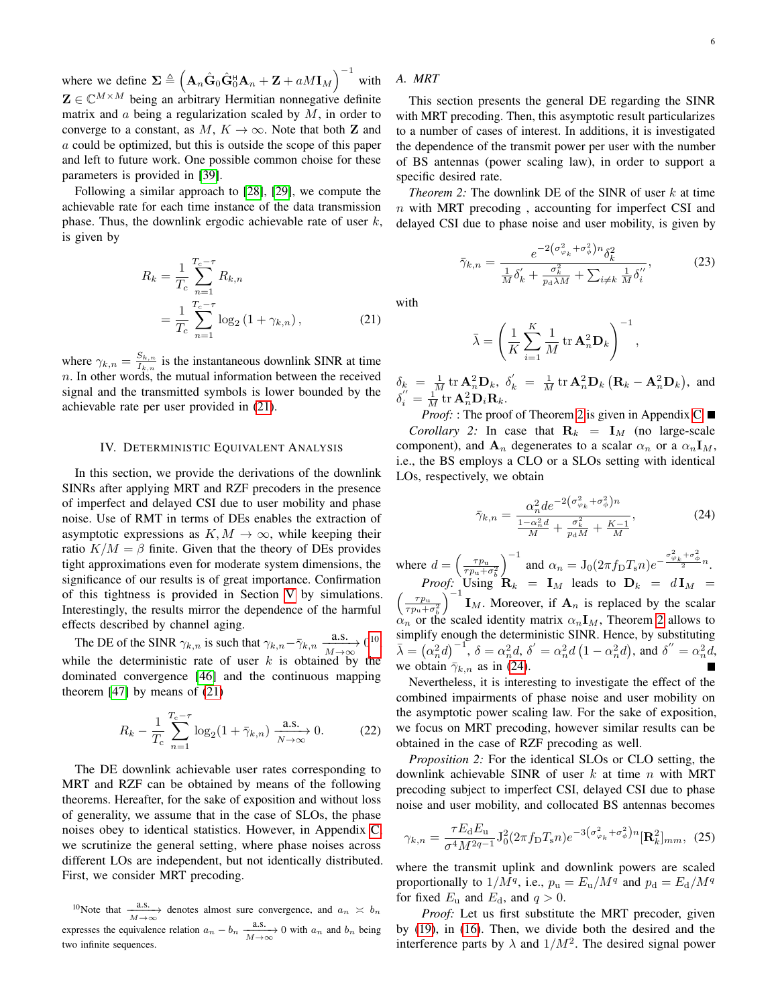where we define  $\Sigma \triangleq (\mathbf{A}_n \hat{\mathbf{G}}_0 \hat{\mathbf{G}}_0^{\text{H}} \mathbf{A}_n + \mathbf{Z} + aM \mathbf{I}_M)^{-1}$  with  $\mathbf{Z} \in \mathbb{C}^{M \times M}$  being an arbitrary Hermitian nonnegative definite matrix and  $\alpha$  being a regularization scaled by  $M$ , in order to converge to a constant, as  $M, K \to \infty$ . Note that both **Z** and a could be optimized, but this is outside the scope of this paper and left to future work. One possible common choise for these parameters is provided in [\[39\]](#page-14-1).

Following a similar approach to [\[28\]](#page-13-17), [\[29\]](#page-13-20), we compute the achievable rate for each time instance of the data transmission phase. Thus, the downlink ergodic achievable rate of user  $k$ , is given by

$$
R_k = \frac{1}{T_c} \sum_{n=1}^{T_c - \tau} R_{k,n}
$$
  
= 
$$
\frac{1}{T_c} \sum_{n=1}^{T_c - \tau} \log_2 (1 + \gamma_{k,n}),
$$
 (21)

where  $\gamma_{k,n} = \frac{S_{k,n}}{I_{k,n}}$  $\frac{S_{k,n}}{I_{k,n}}$  is the instantaneous downlink SINR at time  $n.$  In other words, the mutual information between the received signal and the transmitted symbols is lower bounded by the achievable rate per user provided in [\(21\)](#page-5-1).

# IV. DETERMINISTIC EQUIVALENT ANALYSIS

<span id="page-5-0"></span>In this section, we provide the derivations of the downlink SINRs after applying MRT and RZF precoders in the presence of imperfect and delayed CSI due to user mobility and phase noise. Use of RMT in terms of DEs enables the extraction of asymptotic expressions as  $K, M \to \infty$ , while keeping their ratio  $K/M = \beta$  finite. Given that the theory of DEs provides tight approximations even for moderate system dimensions, the significance of our results is of great importance. Confirmation of this tightness is provided in Section [V](#page-7-0) by simulations. Interestingly, the results mirror the dependence of the harmful effects described by channel aging.

The DE of the SINR  $\gamma_{k,n}$  is such that  $\gamma_{k,n} - \bar{\gamma}_{k,n} \xrightarrow[M \to \infty]{} 0^{10}$  $\gamma_{k,n} - \bar{\gamma}_{k,n} \xrightarrow[M \to \infty]{} 0^{10}$  $\gamma_{k,n} - \bar{\gamma}_{k,n} \xrightarrow[M \to \infty]{} 0^{10}$ , while the deterministic rate of user  $k$  is obtained by the dominated convergence [\[46\]](#page-14-8) and the continuous mapping theorem  $[47]$  by means of  $(21)$ 

$$
R_k - \frac{1}{T_c} \sum_{n=1}^{T_c - \tau} \log_2(1 + \bar{\gamma}_{k,n}) \xrightarrow[N \to \infty]{\text{a.s.}} 0.
$$
 (22)

The DE downlink achievable user rates corresponding to MRT and RZF can be obtained by means of the following theorems. Hereafter, for the sake of exposition and without loss of generality, we assume that in the case of SLOs, the phase noises obey to identical statistics. However, in Appendix [C,](#page-11-1) we scrutinize the general setting, where phase noises across different LOs are independent, but not identically distributed. First, we consider MRT precoding.

<span id="page-5-2"></span><sup>10</sup>Note that  $\frac{a.s.}{M\to\infty}$  denotes almost sure convergence, and  $a_n \times b_n$ expresses the equivalence relation  $a_n - b_n \xrightarrow[M \to \infty]{\text{a.s.}} 0$  with  $a_n$  and  $b_n$  being two infinite sequences.

# *A. MRT*

This section presents the general DE regarding the SINR with MRT precoding. Then, this asymptotic result particularizes to a number of cases of interest. In additions, it is investigated the dependence of the transmit power per user with the number of BS antennas (power scaling law), in order to support a specific desired rate.

*Theorem 2:* The downlink DE of the SINR of user k at time n with MRT precoding , accounting for imperfect CSI and delayed CSI due to phase noise and user mobility, is given by

<span id="page-5-3"></span>
$$
\bar{\gamma}_{k,n} = \frac{e^{-2\left(\sigma_{\varphi_k}^2 + \sigma_{\varphi}^2\right)n} \delta_k^2}{\frac{1}{M} \delta_k' + \frac{\sigma_k^2}{p_d \lambda M} + \sum_{i \neq k} \frac{1}{M} \delta_i''},\tag{23}
$$

<span id="page-5-1"></span>with

$$
\bar{\lambda} = \left(\frac{1}{K} \sum_{i=1}^{K} \frac{1}{M} \operatorname{tr} \mathbf{A}_n^2 \mathbf{D}_k\right)^{-1},
$$

 $\delta_k = \frac{1}{M} \text{tr} \mathbf{A}_n^2 \mathbf{D}_k$ ,  $\delta'_k = \frac{1}{M} \text{tr} \mathbf{A}_n^2 \mathbf{D}_k \left( \mathbf{R}_k - \mathbf{A}_n^2 \mathbf{D}_k \right)$ , and  $\delta_i'' = \frac{1}{M} \text{tr} \mathbf{A}_n^2 \mathbf{D}_i \mathbf{R}_k.$ 

*Proof:* : The proof of Theorem [2](#page-5-3) is given in Appendix [C.](#page-11-1) ■ *Corollary 2:* In case that  $\mathbf{R}_k = \mathbf{I}_M$  (no large-scale component), and  $A_n$  degenerates to a scalar  $\alpha_n$  or a  $\alpha_n \mathbf{I}_M$ , i.e., the BS employs a CLO or a SLOs setting with identical LOs, respectively, we obtain

<span id="page-5-4"></span>
$$
\bar{\gamma}_{k,n} = \frac{\alpha_n^2 d e^{-2(\sigma_{\varphi_k}^2 + \sigma_{\varphi}^2)n}}{\frac{1 - \alpha_n^2 d}{M} + \frac{\sigma_k^2}{p_d M} + \frac{K - 1}{M}},\tag{24}
$$

where  $d = \left(\frac{\tau p_u}{\tau n + 1}\right)$  $\overline{\tau p_\mathrm{u}} + \sigma_b^2$  $\int^{-1}$  and  $\alpha_n = J_0(2\pi f_{\rm D} T_{\rm s} n) e^{-\frac{\sigma_{\varphi_k}^2 + \sigma_{\phi}^2}{2} n}$ . *Proof:* Using  $\mathbf{R}_k = \mathbf{I}_M$  leads to  $\mathbf{D}_k = d\mathbf{I}_M$  $\left( \frac{-\tau p_u}{\tau} \right)$  $\overline{\tau p_\mathrm{u}+\sigma _b^2}$  $\int_{0}^{\infty}$  **I**<sub>M</sub>. Moreover, if  $\mathbf{A}_n$  is replaced by the scalar  $\alpha_n$  or the scaled identity matrix  $\alpha_n \mathbf{I}_M$ , Theorem [2](#page-5-3) allows to simplify enough the deterministic SINR. Hence, by substituting  $\bar{\lambda} = (\alpha_n^2 d)^{-1}$ ,  $\delta = \alpha_n^2 d$ ,  $\delta' = \alpha_n^2 d (1 - \alpha_n^2 d)$ , and  $\delta'' = \alpha_n^2 d$ , we obtain  $\bar{\gamma}_{k,n}$  as in [\(24\)](#page-5-4).

<span id="page-5-7"></span>Nevertheless, it is interesting to investigate the effect of the combined impairments of phase noise and user mobility on the asymptotic power scaling law. For the sake of exposition, we focus on MRT precoding, however similar results can be obtained in the case of RZF precoding as well.

<span id="page-5-6"></span>*Proposition 2:* For the identical SLOs or CLO setting, the downlink achievable SINR of user  $k$  at time  $n$  with MRT precoding subject to imperfect CSI, delayed CSI due to phase noise and user mobility, and collocated BS antennas becomes

<span id="page-5-5"></span>
$$
\gamma_{k,n} = \frac{\tau E_{\rm d} E_{\rm u}}{\sigma^4 M^{2q-1}} J_0^2 (2\pi f_{\rm D} T_{\rm s} n) e^{-3(\sigma_{\varphi_k}^2 + \sigma_{\phi}^2) n} [\mathbf{R}_k^2]_{mm}, \tag{25}
$$

where the transmit uplink and downlink powers are scaled proportionally to  $1/M^q$ , i.e.,  $p_u = E_u/M^q$  and  $p_d = E_d/M^q$ for fixed  $E_u$  and  $E_d$ , and  $q > 0$ .

*Proof:* Let us first substitute the MRT precoder, given by [\(19\)](#page-4-3), in [\(16\)](#page-4-4). Then, we divide both the desired and the interference parts by  $\lambda$  and  $1/M^2$ . The desired signal power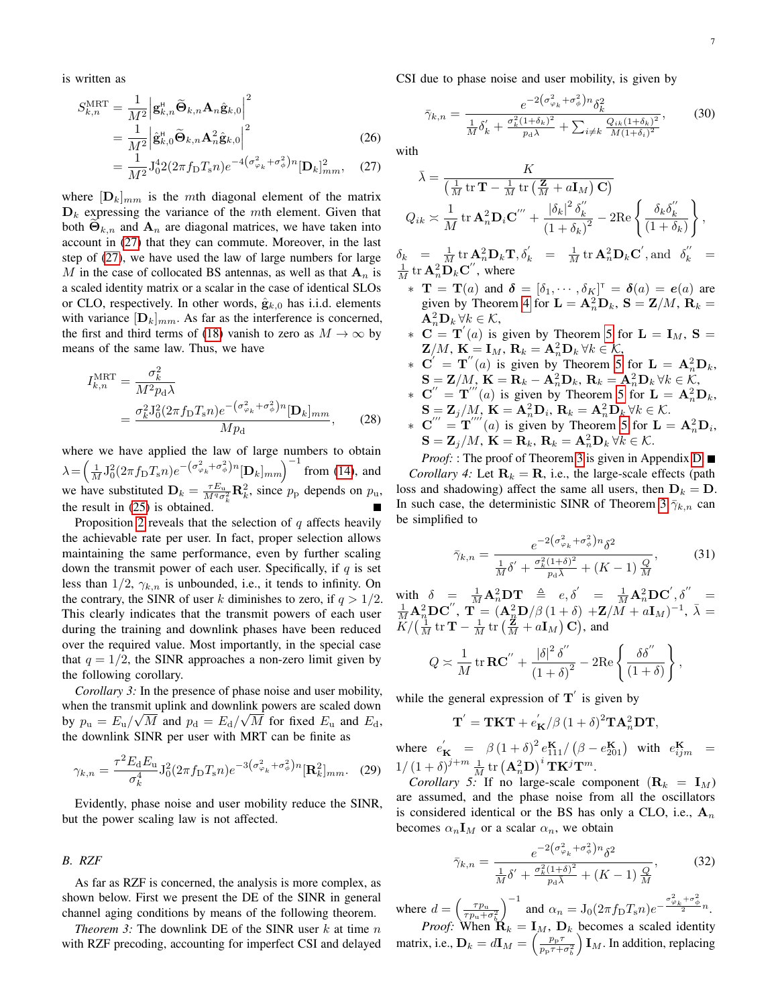is written as

$$
S_{k,n}^{\text{MRT}} = \frac{1}{M^2} \left| \mathbf{g}_{k,n}^{\text{H}} \widetilde{\mathbf{\Theta}}_{k,n} \mathbf{A}_n \hat{\mathbf{g}}_{k,0} \right|^2
$$
  
\n
$$
= \frac{1}{M^2} \left| \hat{\mathbf{g}}_{k,0}^{\text{H}} \widetilde{\mathbf{\Theta}}_{k,n} \mathbf{A}_n^2 \hat{\mathbf{g}}_{k,0} \right|^2
$$
  
\n
$$
= \frac{1}{M^2} \mathbf{J}_0^4 2 (2\pi f_\text{D} T_s n) e^{-4 \left( \sigma_{\varphi_k}^2 + \sigma_\phi^2 \right) n} [\mathbf{D}_k]_{mm}^2, \quad (27)
$$

where  $[D_k]_{mm}$  is the mth diagonal element of the matrix  $D_k$  expressing the variance of the mth element. Given that both  $\Theta_{k,n}$  and  $\mathbf{A}_n$  are diagonal matrices, we have taken into account in [\(27\)](#page-6-0) that they can commute. Moreover, in the last step of [\(27\)](#page-6-0), we have used the law of large numbers for large M in the case of collocated BS antennas, as well as that  $A_n$  is a scaled identity matrix or a scalar in the case of identical SLOs or CLO, respectively. In other words,  $\hat{\mathbf{g}}_{k,0}$  has i.i.d. elements with variance  $[D_k]_{mm}$ . As far as the interference is concerned, the first and third terms of [\(18\)](#page-4-5) vanish to zero as  $M \to \infty$  by means of the same law. Thus, we have

$$
I_{k,n}^{\text{MRT}} = \frac{\sigma_k^2}{M^2 p_d \lambda}
$$
  
= 
$$
\frac{\sigma_k^2 J_0^2 (2\pi f_\text{D} T_s n) e^{-(\sigma_{\varphi_k}^2 + \sigma_\phi^2) n} [\mathbf{D}_k]_{mm}}{M p_d},
$$
 (28)

where we have applied the law of large numbers to obtain  $\lambda = \left(\frac{1}{M} J_0^2 (2\pi f_{\rm D} T_{\rm s} n) e^{-\left(\sigma_{\varphi_k}^2 + \sigma_{\phi}^2\right)n} [\mathbf{D}_k]_{mm}\right)^{-1}$  from [\(14\)](#page-4-6), and we have substituted  $\mathbf{D}_k = \frac{\tau E_u}{M^q \sigma_k^2} \mathbf{R}_k^2$ , since  $p_p$  depends on  $p_u$ , k the result in [\(25\)](#page-5-5) is obtained.

Proposition [2](#page-5-6) reveals that the selection of  $q$  affects heavily the achievable rate per user. In fact, proper selection allows maintaining the same performance, even by further scaling down the transmit power of each user. Specifically, if  $q$  is set less than  $1/2$ ,  $\gamma_{k,n}$  is unbounded, i.e., it tends to infinity. On the contrary, the SINR of user k diminishes to zero, if  $q > 1/2$ . This clearly indicates that the transmit powers of each user during the training and downlink phases have been reduced over the required value. Most importantly, in the special case that  $q = 1/2$ , the SINR approaches a non-zero limit given by the following corollary.

*Corollary 3:* In the presence of phase noise and user mobility, when the transmit uplink and downlink powers are scaled down by  $p_{\rm u} = E_{\rm u}/\sqrt{M}$  and  $p_{\rm d} = E_{\rm d}/\sqrt{M}$  for fixed  $E_{\rm u}$  and  $E_{\rm d}$ , the downlink SINR per user with MRT can be finite as

$$
\gamma_{k,n} = \frac{\tau^2 E_d E_u}{\sigma_k^4} J_0^2 (2\pi f_D T_s n) e^{-3(\sigma_{\varphi_k}^2 + \sigma_\phi^2) n} [\mathbf{R}_k^2]_{mm}.
$$
 (29)

Evidently, phase noise and user mobility reduce the SINR, but the power scaling law is not affected.

*B. RZF*

As far as RZF is concerned, the analysis is more complex, as shown below. First we present the DE of the SINR in general channel aging conditions by means of the following theorem.

*Theorem 3:* The downlink DE of the SINR user  $k$  at time  $n$ with RZF precoding, accounting for imperfect CSI and delayed CSI due to phase noise and user mobility, is given by

$$
\bar{\gamma}_{k,n} = \frac{e^{-2(\sigma_{\varphi_k}^2 + \sigma_{\varphi}^2)n} \delta_k^2}{\frac{1}{M} \delta_k' + \frac{\sigma_k^2 (1 + \delta_k)^2}{p_d \bar{\lambda}} + \sum_{i \neq k} \frac{Q_{ik} (1 + \delta_k)^2}{M (1 + \delta_i)^2}},
$$
(30)

<span id="page-6-0"></span>with

$$
\bar{\lambda} = \frac{K}{\left(\frac{1}{M} \operatorname{tr} \mathbf{T} - \frac{1}{M} \operatorname{tr} \left(\frac{\mathbf{Z}}{M} + a \mathbf{I}_M\right) \mathbf{C}\right)}
$$
\n
$$
Q_{ik} \approx \frac{1}{M} \operatorname{tr} \mathbf{A}_n^2 \mathbf{D}_i \mathbf{C}''' + \frac{|\delta_k|^2 \delta_k''}{\left(1 + \delta_k\right)^2} - 2 \operatorname{Re} \left\{ \frac{\delta_k \delta_k''}{\left(1 + \delta_k\right)} \right\},
$$
\n
$$
\delta_k = \frac{1}{M} \operatorname{tr} \mathbf{A}_n^2 \mathbf{D}_k \mathbf{T}, \delta_k' = \frac{1}{M} \operatorname{tr} \mathbf{A}_n^2 \mathbf{D}_k \mathbf{C}', \text{and} \delta_k'' =
$$

 $\frac{1}{M}$  tr  $\mathbf{A}_n^2 \mathbf{D}_k \mathbf{C}''$ , where  $\mathbf{r} = \mathbf{T}(a)$  and  $\boldsymbol{\delta} = [\delta_1, \cdots, \delta_K]^{\mathsf{T}} = \boldsymbol{\delta}(a) = \boldsymbol{e}(a)$  are given by Theorem [4](#page-10-0) for  $\mathbf{L} = \mathbf{A}_n^2 \mathbf{D}_k$ ,  $\mathbf{S} = \mathbf{Z}/M$ ,  $\mathbf{R}_k =$ 

- $\mathbf{A}_n^2 \mathbf{D}_k \,\forall k \in \mathcal{K},$  $\mathbf{C} = \mathbf{T}'(a)$  is given by Theorem [5](#page-10-1) for  $\mathbf{L} = \mathbf{I}_M$ ,  $\mathbf{S} =$
- $\mathbf{Z}/M$ ,  $\mathbf{K} = \mathbf{I}_M$ ,  $\mathbf{R}_k = \mathbf{A}_n^2 \mathbf{D}_k \ \forall k \in \mathcal{K}$ , ∗  $C' = T''(a)$  is given by Theorem [5](#page-10-1) for  $\mathbf{L} = \mathbf{A}_n^2 \mathbf{D}_k$ ,  $\mathbf{S} = \mathbf{Z}/M$ ,  $\mathbf{K} = \mathbf{R}_k - \mathbf{A}_n^2 \mathbf{D}_k$ ,  $\mathbf{R}_k = \mathbf{A}_n^2 \mathbf{D}_k \ \forall k \in \mathcal{K}$ ,
- ∗  $C'' = T'''(a)$  is given by Theorem [5](#page-10-1) for  $\mathbf{L} = \mathbf{A}_n^2 \mathbf{D}_k$ ,  $\mathbf{S} = \mathbf{Z}_j/M, \, \mathbf{K} = \mathbf{A}_n^2 \mathbf{D}_i, \, \mathbf{R}_k = \mathbf{A}_n^2 \mathbf{D}_k \, \forall k \in \mathcal{K}.$
- ∗ C<sup>*o*</sup> = T<sup>*o*</sup> (*a*) is given by Theorem [5](#page-10-1) for **L** =  $A_n^2D_i$ ,  $\mathbf{S} = \mathbf{Z}_j/M, \, \mathbf{K} = \mathbf{R}_k, \, \mathbf{R}_k = \mathbf{A}_n^2 \mathbf{D}_k \, \forall k \in \mathcal{K}.$

*Proof:* : The proof of Theorem [3](#page-6-1) is given in Appendix [D.](#page-11-2) ■ *Corollary 4:* Let  $\mathbf{R}_k = \mathbf{R}$ , i.e., the large-scale effects (path loss and shadowing) affect the same all users, then  $D_k = D$ . In such case, the deterministic SINR of Theorem [3](#page-6-1)  $\bar{\gamma}_{k,n}$  can be simplified to

$$
\bar{\gamma}_{k,n} = \frac{e^{-2(\sigma_{\varphi_k}^2 + \sigma_{\phi}^2)n} \delta^2}{\frac{1}{M} \delta' + \frac{\sigma_k^2 (1+\delta)^2}{p_d \lambda} + (K-1) \frac{Q}{M}},
$$
(31)

with  $\delta = \frac{1}{M} \mathbf{A}_n^2 \mathbf{D} \mathbf{T} \triangleq e, \delta' = \frac{1}{M} \mathbf{A}_n^2 \mathbf{D} \mathbf{C}', \delta'' =$  $\frac{1}{M} {\bf A}_n^2 {\bf D} {\bf C}^{\prime\prime}, \; {\bf T} = \left({\bf A}_n^2 {\bf D}/\beta \left(1+\delta\right) \right. + \! {\bf Z}/\stackrel{\cdots}{M} \! + a {\bf I}_M)^{-1}, \; \bar{\lambda} =$  $\widetilde{K}/\left(\frac{1}{M}\operatorname{tr}\mathbf{T}-\frac{1}{M}\operatorname{tr}\left(\frac{\mathbf{Z}}{M}+a\mathbf{I}_{M}\right)\mathbf{C}\right)$ , and

$$
Q \approx \frac{1}{M} \operatorname{tr} \mathbf{RC}'' + \frac{|\delta|^2 \delta''}{(1+\delta)^2} - 2\mathrm{Re} \left\{ \frac{\delta \delta''}{(1+\delta)} \right\},\,
$$

while the general expression of  $T'$  is given by

$$
\mathbf{T}^{'} = \mathbf{T} \mathbf{K} \mathbf{T} + e_{\mathbf{K}}^{'} / \beta \left( 1 + \delta \right)^2 \mathbf{T} \mathbf{A}_n^2 \mathbf{D} \mathbf{T},
$$

where  $e_{\mathbf{K}}' = \beta (1+\delta)^2 e_{111}^{\mathbf{K}} / (\beta - e_{201}^{\mathbf{K}})$  with  $e_{ijm}^{\mathbf{K}} =$  $1/\left(1+\delta\right)^{j+m}\frac{1}{M}\mathop{\rm tr}\nolimits\left(\mathbf{A}^2_n\mathbf{D}\right)^i\mathbf{T}\mathbf{K}^j\mathbf{T}^m.$ 

*Corollary 5:* If no large-scale component  $(\mathbf{R}_k = \mathbf{I}_M)$ are assumed, and the phase noise from all the oscillators is considered identical or the BS has only a CLO, i.e.,  $A_n$ becomes  $\alpha_n \mathbf{I}_M$  or a scalar  $\alpha_n$ , we obtain

$$
\bar{\gamma}_{k,n} = \frac{e^{-2(\sigma_{\varphi_k}^2 + \sigma_{\varphi}^2)n} \delta^2}{\frac{1}{M} \delta' + \frac{\sigma_k^2 (1+\delta)^2}{p_d \lambda} + (K-1) \frac{Q}{M}},
$$
(32)

<span id="page-6-1"></span>where  $d = \left(\frac{\tau p_u}{\tau n + 1}\right)$  $\overline{\tau p_\mathrm{u}+\sigma _b^2}$  $\int^{-1}$  and  $\alpha_n = J_0(2\pi f_{\rm D} T_{\rm s} n) e^{-\frac{\sigma_{\varphi_k}^2 + \sigma_{\phi}^2}{2} n}$ . *Proof:* When  $\mathbf{R}_k = \mathbf{I}_M$ ,  $\mathbf{D}_k$  becomes a scaled identity

matrix, i.e.,  $\mathbf{D}_k = d\mathbf{I}_M = \left(\frac{p_{\rm p} \tau}{p_{\rm p} \tau + 1}\right)$  $\overline{p_{\rm p}\tau$ + $\sigma_b^2}$  $\prod_{M}$ . In addition, replacing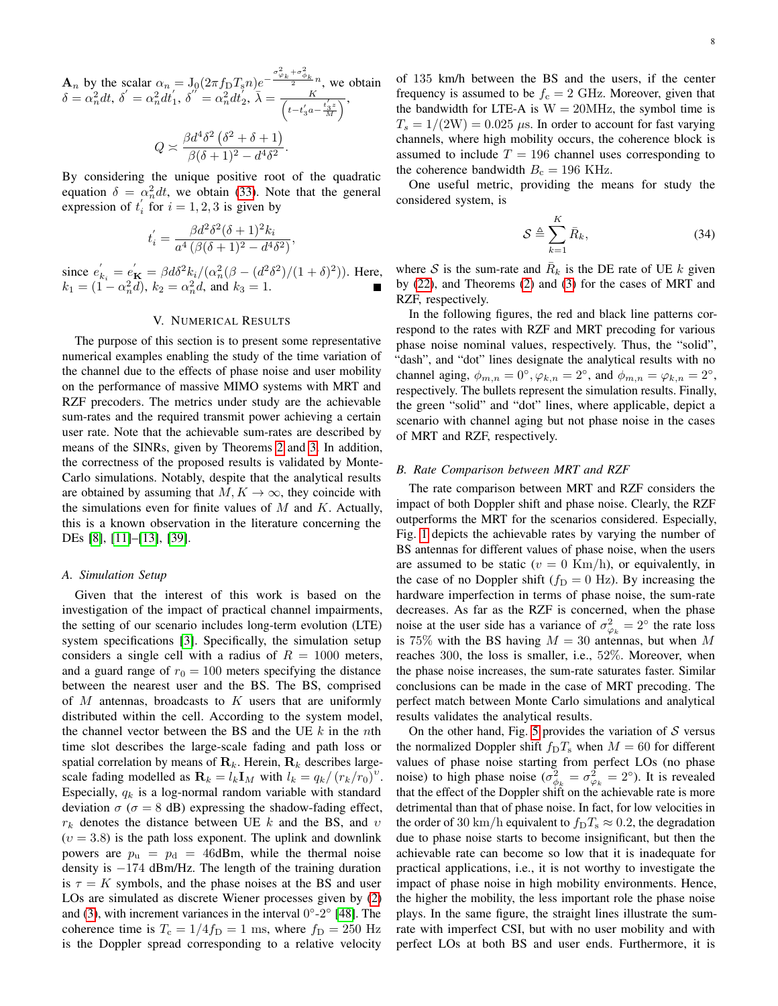$\mathbf{A}_n$  by the scalar  $\alpha_n = J_0(2\pi f_\text{D} T_s n) e^{-\frac{\sigma_{\varphi_k}^2 + \sigma_{\varphi_k}^2}{2} n}$ , we obtain  $\delta=\alpha_n^2 dt,\, \delta^{'}=\alpha_n^2 dt^{'}_1,\, \delta^{''}=\alpha_n^2 dt^{'}_2,\, \bar{\lambda}=\frac{K}{\sqrt{1-\lambda^{'}}}$  $\frac{K}{t-t_{3}^{'}a-\frac{t_{3}^{'}z}{M}}$  $\beta d^4\delta^2$   $(\delta^2 + \delta + 1)$ 

$$
Q \asymp \frac{\beta a \cdot b \cdot (b^2 + b^2 + 1)}{\beta(\delta + 1)^2 - d^4 \delta^2}
$$

.

By considering the unique positive root of the quadratic equation  $\delta = \alpha_n^2 dt$ , we obtain [\(33\)](#page-8-1). Note that the general expression of  $t_i$  for  $i = 1, 2, 3$  is given by

$$
t'_{i} = \frac{\beta d^{2} \delta^{2} (\delta + 1)^{2} k_{i}}{a^{4} (\beta (\delta + 1)^{2} - d^{4} \delta^{2})},
$$

since  $e'_{k_i} = e'_{\mathbf{K}} = \beta d\delta^2 k_i / (\alpha_n^2 (\beta - (d^2 \delta^2)/(1+\delta)^2))$ . Here,  $k_1 = (1 - \alpha_n^2 d), k_2 = \alpha_n^2 d,$  and  $k_3 = 1$ .

# V. NUMERICAL RESULTS

<span id="page-7-0"></span>The purpose of this section is to present some representative numerical examples enabling the study of the time variation of the channel due to the effects of phase noise and user mobility on the performance of massive MIMO systems with MRT and RZF precoders. The metrics under study are the achievable sum-rates and the required transmit power achieving a certain user rate. Note that the achievable sum-rates are described by means of the SINRs, given by Theorems [2](#page-5-3) and [3.](#page-6-1) In addition, the correctness of the proposed results is validated by Monte-Carlo simulations. Notably, despite that the analytical results are obtained by assuming that  $M, K \to \infty$ , they coincide with the simulations even for finite values of  $M$  and  $K$ . Actually, this is a known observation in the literature concerning the DEs [\[8\]](#page-13-6), [\[11\]](#page-13-9)–[\[13\]](#page-13-27), [\[39\]](#page-14-1).

#### *A. Simulation Setup*

Given that the interest of this work is based on the investigation of the impact of practical channel impairments, the setting of our scenario includes long-term evolution (LTE) system specifications [\[3\]](#page-13-1). Specifically, the simulation setup considers a single cell with a radius of  $R = 1000$  meters, and a guard range of  $r_0 = 100$  meters specifying the distance between the nearest user and the BS. The BS, comprised of  $M$  antennas, broadcasts to  $K$  users that are uniformly distributed within the cell. According to the system model, the channel vector between the BS and the UE  $k$  in the nth time slot describes the large-scale fading and path loss or spatial correlation by means of  $\mathbf{R}_k$ . Herein,  $\mathbf{R}_k$  describes largescale fading modelled as  $\mathbf{R}_k = l_k \mathbf{I}_M$  with  $l_k = q_k / (r_k / r_0)^v$ . Especially,  $q_k$  is a log-normal random variable with standard deviation  $\sigma$  ( $\sigma = 8$  dB) expressing the shadow-fading effect,  $r_k$  denotes the distance between UE k and the BS, and  $v$  $(v = 3.8)$  is the path loss exponent. The uplink and downlink powers are  $p_u = p_d = 46$ dBm, while the thermal noise density is −174 dBm/Hz. The length of the training duration is  $\tau = K$  symbols, and the phase noises at the BS and user LOs are simulated as discrete Wiener processes given by [\(2\)](#page-2-4) and [\(3\)](#page-2-5), with increment variances in the interval  $0^{\circ}$ -2° [\[48\]](#page-14-10). The coherence time is  $T_c = 1/4f_D = 1$  ms, where  $f_D = 250$  Hz is the Doppler spread corresponding to a relative velocity

of 135 km/h between the BS and the users, if the center frequency is assumed to be  $f_c = 2 \text{ GHz}$ . Moreover, given that the bandwidth for LTE-A is  $W = 20MHz$ , the symbol time is  $T_s = 1/(2W) = 0.025 \mu s$ . In order to account for fast varying channels, where high mobility occurs, the coherence block is assumed to include  $T = 196$  channel uses corresponding to the coherence bandwidth  $B_c = 196$  KHz.

One useful metric, providing the means for study the considered system, is

$$
S \triangleq \sum_{k=1}^{K} \bar{R}_k, \tag{34}
$$

where S is the sum-rate and  $\bar{R}_k$  is the DE rate of UE k given by [\(22\)](#page-5-7), and Theorems [\(2\)](#page-5-3) and [\(3\)](#page-6-1) for the cases of MRT and RZF, respectively.

In the following figures, the red and black line patterns correspond to the rates with RZF and MRT precoding for various phase noise nominal values, respectively. Thus, the "solid", "dash", and "dot" lines designate the analytical results with no channel aging,  $\phi_{m,n} = 0^{\circ}, \varphi_{k,n} = 2^{\circ}$ , and  $\phi_{m,n} = \varphi_{k,n} = 2^{\circ}$ , respectively. The bullets represent the simulation results. Finally, the green "solid" and "dot" lines, where applicable, depict a scenario with channel aging but not phase noise in the cases of MRT and RZF, respectively.

# *B. Rate Comparison between MRT and RZF*

The rate comparison between MRT and RZF considers the impact of both Doppler shift and phase noise. Clearly, the RZF outperforms the MRT for the scenarios considered. Especially, Fig. [1](#page-8-2) depicts the achievable rates by varying the number of BS antennas for different values of phase noise, when the users are assumed to be static ( $v = 0$  Km/h), or equivalently, in the case of no Doppler shift ( $f_D = 0$  Hz). By increasing the hardware imperfection in terms of phase noise, the sum-rate decreases. As far as the RZF is concerned, when the phase noise at the user side has a variance of  $\sigma_{\varphi_k}^2 = 2^{\circ}$  the rate loss is 75% with the BS having  $M = 30$  antennas, but when M reaches 300, the loss is smaller, i.e., 52%. Moreover, when the phase noise increases, the sum-rate saturates faster. Similar conclusions can be made in the case of MRT precoding. The perfect match between Monte Carlo simulations and analytical results validates the analytical results.

On the other hand, Fig. [5](#page-9-0) provides the variation of  $S$  versus the normalized Doppler shift  $f_D T_s$  when  $M = 60$  for different values of phase noise starting from perfect LOs (no phase noise) to high phase noise ( $\sigma_{\phi_k}^2 = \sigma_{\phi_k}^2 = 2^{\circ}$ ). It is revealed that the effect of the Doppler shift on the achievable rate is more detrimental than that of phase noise. In fact, for low velocities in the order of 30 km/h equivalent to  $f_D T_s \approx 0.2$ , the degradation due to phase noise starts to become insignificant, but then the achievable rate can become so low that it is inadequate for practical applications, i.e., it is not worthy to investigate the impact of phase noise in high mobility environments. Hence, the higher the mobility, the less important role the phase noise plays. In the same figure, the straight lines illustrate the sumrate with imperfect CSI, but with no user mobility and with perfect LOs at both BS and user ends. Furthermore, it is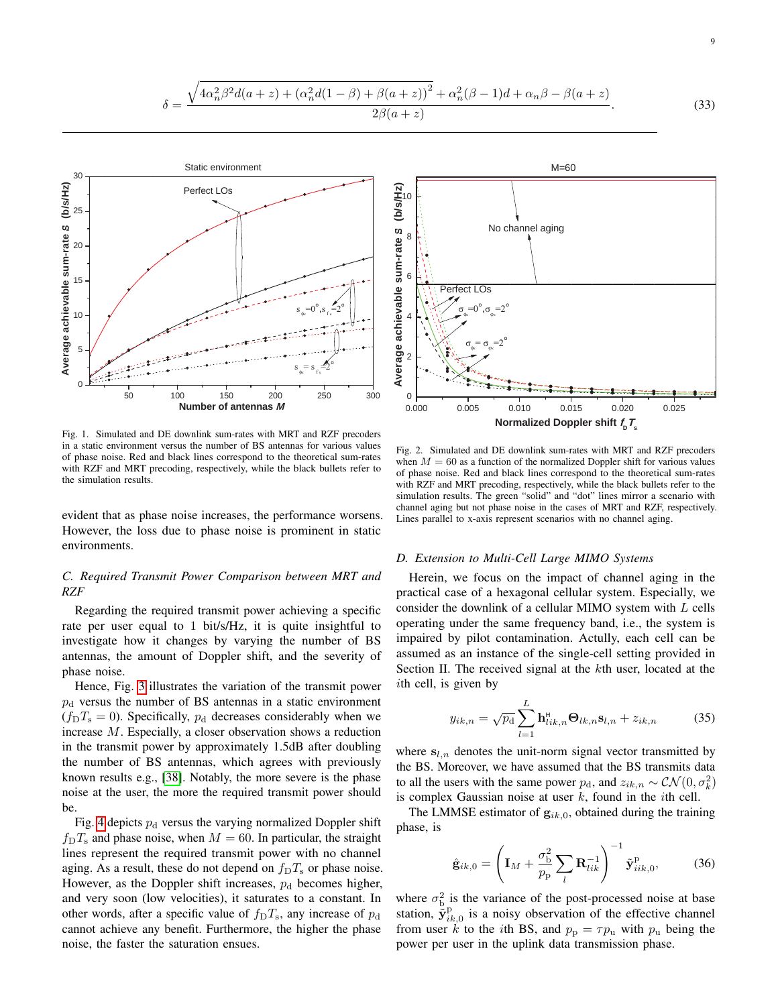

<span id="page-8-2"></span>Fig. 1. Simulated and DE downlink sum-rates with MRT and RZF precoders in a static environment versus the number of BS antennas for various values of phase noise. Red and black lines correspond to the theoretical sum-rates with RZF and MRT precoding, respectively, while the black bullets refer to the simulation results.

evident that as phase noise increases, the performance worsens. However, the loss due to phase noise is prominent in static environments.

# *C. Required Transmit Power Comparison between MRT and RZF*

Regarding the required transmit power achieving a specific rate per user equal to 1 bit/s/Hz, it is quite insightful to investigate how it changes by varying the number of BS antennas, the amount of Doppler shift, and the severity of phase noise.

Hence, Fig. [3](#page-9-1) illustrates the variation of the transmit power  $p_d$  versus the number of BS antennas in a static environment  $(f<sub>D</sub>T<sub>s</sub> = 0)$ . Specifically,  $p<sub>d</sub>$  decreases considerably when we increase M. Especially, a closer observation shows a reduction in the transmit power by approximately 1.5dB after doubling the number of BS antennas, which agrees with previously known results e.g., [\[38\]](#page-14-0). Notably, the more severe is the phase noise at the user, the more the required transmit power should be.

Fig. [4](#page-9-2) depicts  $p_d$  versus the varying normalized Doppler shift  $f<sub>D</sub>T<sub>s</sub>$  and phase noise, when  $M = 60$ . In particular, the straight lines represent the required transmit power with no channel aging. As a result, these do not depend on  $f_D T_s$  or phase noise. However, as the Doppler shift increases,  $p_d$  becomes higher, and very soon (low velocities), it saturates to a constant. In other words, after a specific value of  $f<sub>D</sub>T<sub>s</sub>$ , any increase of  $p<sub>d</sub>$ cannot achieve any benefit. Furthermore, the higher the phase Fig. 1. Simulate and HE consider the distribution of the saturation of the saturation ensues. O.000 0.000 0.000 0.000 0.000 0.000 0.000 0.000 0.000 0.000 0.000 0.000 0.000 0.000 0.000 0.000 0.000 0.000 0.000 0.000 0.000 0

<span id="page-8-1"></span>

Fig. 2. Simulated and DE downlink sum-rates with MRT and RZF precoders when  $M = 60$  as a function of the normalized Doppler shift for various values of phase noise. Red and black lines correspond to the theoretical sum-rates with RZF and MRT precoding, respectively, while the black bullets refer to the simulation results. The green "solid" and "dot" lines mirror a scenario with channel aging but not phase noise in the cases of MRT and RZF, respectively. Lines parallel to x-axis represent scenarios with no channel aging.

# *D. Extension to Multi-Cell Large MIMO Systems*

Herein, we focus on the impact of channel aging in the practical case of a hexagonal cellular system. Especially, we consider the downlink of a cellular MIMO system with L cells operating under the same frequency band, i.e., the system is impaired by pilot contamination. Actully, each cell can be assumed as an instance of the single-cell setting provided in Section II. The received signal at the kth user, located at the ith cell, is given by

<span id="page-8-0"></span>
$$
y_{ik,n} = \sqrt{p_d} \sum_{l=1}^{L} \mathbf{h}_{lik,n}^{\mathsf{H}} \mathbf{\Theta}_{lk,n} \mathbf{s}_{l,n} + z_{ik,n}
$$
 (35)

where  $s_{l,n}$  denotes the unit-norm signal vector transmitted by the BS. Moreover, we have assumed that the BS transmits data to all the users with the same power  $p_d$ , and  $z_{ik,n} \sim \mathcal{CN}(0, \sigma_k^2)$ is complex Gaussian noise at user  $k$ , found in the *i*th cell.

The LMMSE estimator of  $g_{ik,0}$ , obtained during the training phase, is

<span id="page-8-3"></span>
$$
\hat{\mathbf{g}}_{ik,0} = \left(\mathbf{I}_M + \frac{\sigma_{\rm b}^2}{p_{\rm p}} \sum_{l} \mathbf{R}_{lik}^{-1}\right)^{-1} \tilde{\mathbf{y}}_{iik,0}^{\rm p},\tag{36}
$$

where  $\sigma_{\rm b}^2$  is the variance of the post-processed noise at base station,  $\tilde{\mathbf{y}}_{ik,0}^{\text{p}}$  is a noisy observation of the effective channel from user k to the ith BS, and  $p_p = \tau p_u$  with  $p_u$  being the power per user in the uplink data transmission phase.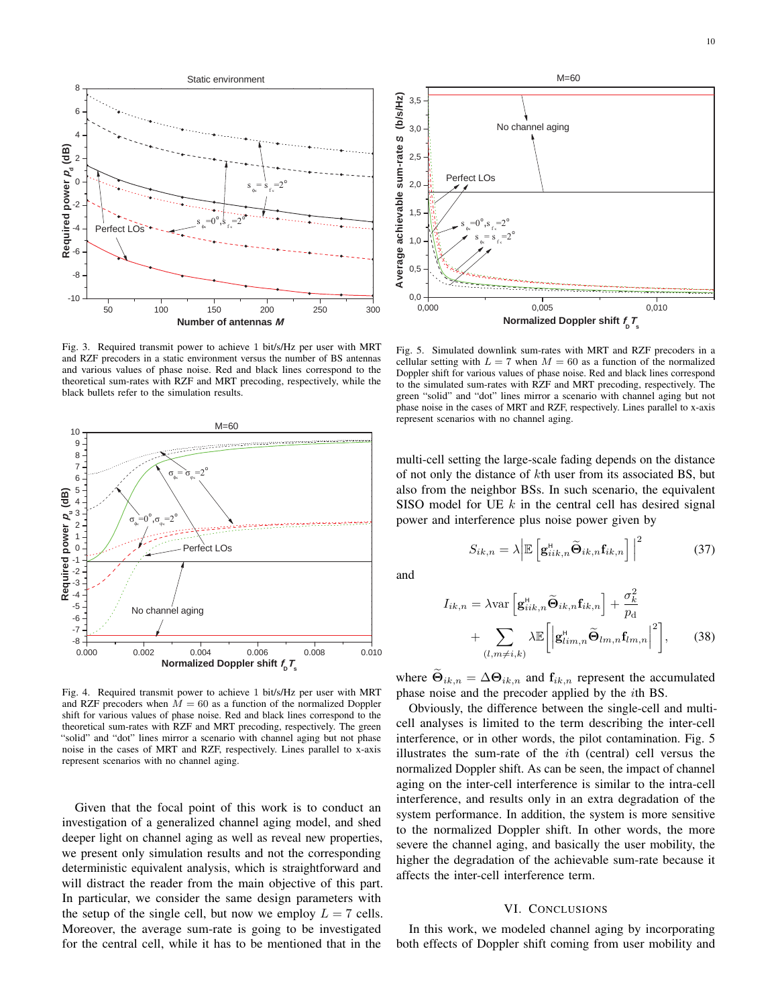

<span id="page-9-1"></span>Fig. 3. Required transmit power to achieve 1 bit/s/Hz per user with MRT and RZF precoders in a static environment versus the number of BS antennas and various values of phase noise. Red and black lines correspond to the theoretical sum-rates with RZF and MRT precoding, respectively, while the black bullets refer to the simulation results.



<span id="page-9-2"></span>Fig. 4. Required transmit power to achieve 1 bit/s/Hz per user with MRT and RZF precoders when  $\overline{M} = 60$  as a function of the normalized Doppler shift for various values of phase noise. Red and black lines correspond to the theoretical sum-rates with RZF and MRT precoding, respectively. The green "solid" and "dot" lines mirror a scenario with channel aging but not phase noise in the cases of MRT and RZF, respectively. Lines parallel to x-axis represent scenarios with no channel aging.

Given that the focal point of this work is to conduct an investigation of a generalized channel aging model, and shed deeper light on channel aging as well as reveal new properties, we present only simulation results and not the corresponding deterministic equivalent analysis, which is straightforward and will distract the reader from the main objective of this part. In particular, we consider the same design parameters with the setup of the single cell, but now we employ  $L = 7$  cells. Moreover, the average sum-rate is going to be investigated



<span id="page-9-0"></span>Fig. 5. Simulated downlink sum-rates with MRT and RZF precoders in a cellular setting with  $L = 7$  when  $M = 60$  as a function of the normalized Doppler shift for various values of phase noise. Red and black lines correspond to the simulated sum-rates with RZF and MRT precoding, respectively. The green "solid" and "dot" lines mirror a scenario with channel aging but not phase noise in the cases of MRT and RZF, respectively. Lines parallel to x-axis represent scenarios with no channel aging.

multi-cell setting the large-scale fading depends on the distance of not only the distance of kth user from its associated BS, but also from the neighbor BSs. In such scenario, the equivalent SISO model for UE  $k$  in the central cell has desired signal power and interference plus noise power given by

$$
S_{ik,n} = \lambda \left| \mathbb{E} \left[ \mathbf{g}_{iik,n}^{\mathsf{H}} \widetilde{\mathbf{\Theta}}_{ik,n} \mathbf{f}_{ik,n} \right] \right|^2 \tag{37}
$$

and

$$
I_{ik,n} = \lambda \text{var}\left[\mathbf{g}_{iik,n}^{H} \widetilde{\mathbf{\Theta}}_{ik,n} \mathbf{f}_{ik,n}\right] + \frac{\sigma_k^2}{p_{\text{d}}} + \sum_{(l,m \neq i,k)} \lambda \mathbb{E}\left[\left|\mathbf{g}_{lim,n}^{H} \widetilde{\mathbf{\Theta}}_{lm,n} \mathbf{f}_{lm,n}\right|^{2}\right],\qquad(38)
$$

where  $\mathbf{\Theta}_{ik,n} = \Delta \mathbf{\Theta}_{ik,n}$  and  $\mathbf{f}_{ik,n}$  represent the accumulated phase noise and the precoder applied by the ith BS.

Obviously, the difference between the single-cell and multicell analyses is limited to the term describing the inter-cell interference, or in other words, the pilot contamination. Fig. 5 illustrates the sum-rate of the ith (central) cell versus the normalized Doppler shift. As can be seen, the impact of channel aging on the inter-cell interference is similar to the intra-cell interference, and results only in an extra degradation of the system performance. In addition, the system is more sensitive to the normalized Doppler shift. In other words, the more severe the channel aging, and basically the user mobility, the higher the degradation of the achievable sum-rate because it affects the inter-cell interference term.

# VI. CONCLUSIONS

In this work, we modeled channel aging by incorporating both effects of Doppler shift coming from user mobility and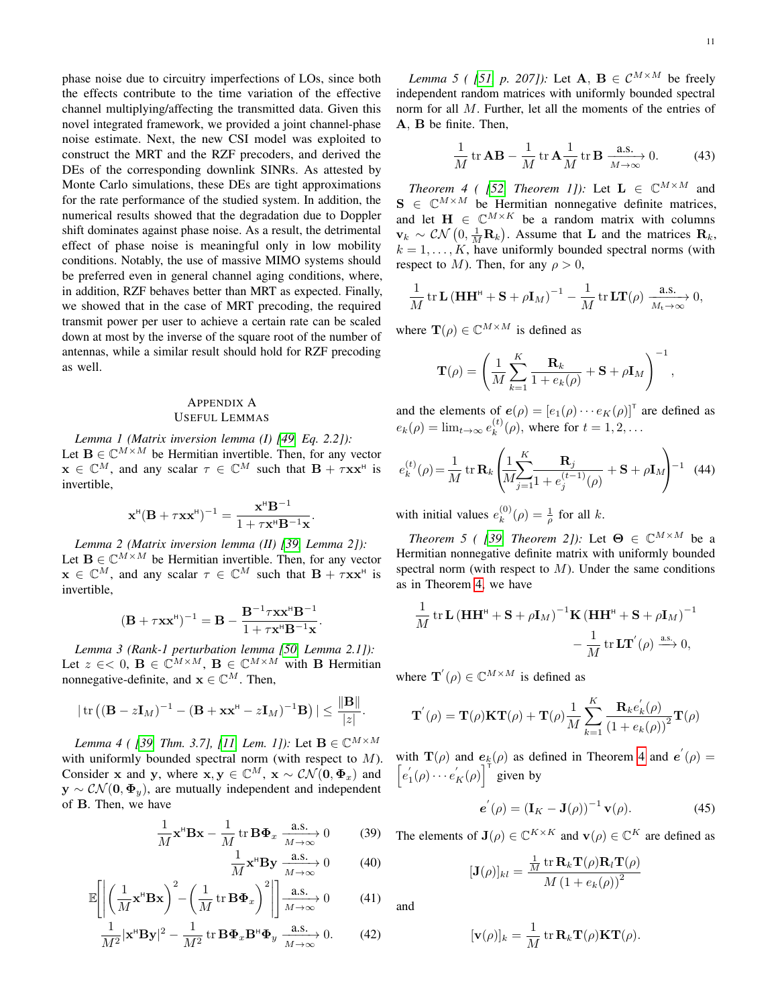phase noise due to circuitry imperfections of LOs, since both the effects contribute to the time variation of the effective channel multiplying/affecting the transmitted data. Given this novel integrated framework, we provided a joint channel-phase noise estimate. Next, the new CSI model was exploited to construct the MRT and the RZF precoders, and derived the DEs of the corresponding downlink SINRs. As attested by Monte Carlo simulations, these DEs are tight approximations for the rate performance of the studied system. In addition, the numerical results showed that the degradation due to Doppler shift dominates against phase noise. As a result, the detrimental effect of phase noise is meaningful only in low mobility conditions. Notably, the use of massive MIMO systems should be preferred even in general channel aging conditions, where, in addition, RZF behaves better than MRT as expected. Finally, we showed that in the case of MRT precoding, the required transmit power per user to achieve a certain rate can be scaled down at most by the inverse of the square root of the number of antennas, while a similar result should hold for RZF precoding as well.

# APPENDIX A

USEFUL LEMMAS

<span id="page-10-4"></span>*Lemma 1 (Matrix inversion lemma (I) [\[49,](#page-14-11) Eq. 2.2]):* Let  $\mathbf{B} \in \mathbb{C}^{M \times M}$  be Hermitian invertible. Then, for any vector  $\mathbf{x} \in \mathbb{C}^M$ , and any scalar  $\tau \in \mathbb{C}^M$  such that  $\mathbf{B} + \tau \mathbf{x} \mathbf{x}^{\text{H}}$  is invertible,

$$
\mathbf{x}^{\mathsf{H}}(\mathbf{B} + \tau \mathbf{x} \mathbf{x}^{\mathsf{H}})^{-1} = \frac{\mathbf{x}^{\mathsf{H}} \mathbf{B}^{-1}}{1 + \tau \mathbf{x}^{\mathsf{H}} \mathbf{B}^{-1} \mathbf{x}}.
$$

<span id="page-10-5"></span>*Lemma 2 (Matrix inversion lemma (II) [\[39,](#page-14-1) Lemma 2]):* Let  $\mathbf{B} \in \mathbb{C}^{M \times M}$  be Hermitian invertible. Then, for any vector  $\mathbf{x} \in \mathbb{C}^M$ , and any scalar  $\tau \in \mathbb{C}^M$  such that  $\mathbf{B} + \tau \mathbf{x} \mathbf{x}^{\text{H}}$  is invertible,

$$
(\mathbf{B} + \tau \mathbf{x} \mathbf{x}^{\mathsf{H}})^{-1} = \mathbf{B} - \frac{\mathbf{B}^{-1} \tau \mathbf{x} \mathbf{x}^{\mathsf{H}} \mathbf{B}^{-1}}{1 + \tau \mathbf{x}^{\mathsf{H}} \mathbf{B}^{-1} \mathbf{x}}.
$$

*Lemma 3 (Rank-1 perturbation lemma [\[50,](#page-14-12) Lemma 2.1]):* Let  $z \in \infty$ ,  $\mathbf{B} \in \mathbb{C}^{M \times M}$ ,  $\mathbf{B} \in \mathbb{C}^{M \times M}$  with B Hermitian nonnegative-definite, and  $\mathbf{x} \in \mathbb{C}^{M}$ . Then,

$$
|\operatorname{tr}((\mathbf{B}-z\mathbf{I}_M)^{-1}-(\mathbf{B}+\mathbf{x}\mathbf{x}^{\mathsf{H}}-z\mathbf{I}_M)^{-1}\mathbf{B})| \leq \frac{\|\mathbf{B}\|}{|z|}.
$$

<span id="page-10-2"></span>*Lemma 4 ( [\[39,](#page-14-1) Thm. 3.7], [\[11,](#page-13-9) Lem. 1]):* Let  $B \in \mathbb{C}^{M \times M}$ with uniformly bounded spectral norm (with respect to  $M$ ). Consider x and y, where  $x, y \in \mathbb{C}^M$ ,  $x \sim \mathcal{CN}(0, \Phi_x)$  and  $y \sim \mathcal{CN}(0, \Phi_{y})$ , are mutually independent and independent of B. Then, we have

$$
\frac{1}{M}\mathbf{x}^{\text{H}}\mathbf{B}\mathbf{x} - \frac{1}{M}\operatorname{tr}\mathbf{B}\mathbf{\Phi}_x \xrightarrow[M \to \infty]{} 0 \tag{39}
$$

$$
\frac{1}{M}\mathbf{x}^{\mathsf{H}}\mathbf{By} \xrightarrow[M \to \infty]{\mathbf{a.s.}} 0 \tag{40}
$$

$$
\mathbb{E}\left[\left|\left(\frac{1}{M}\mathbf{x}^{\mathsf{H}}\mathbf{B}\mathbf{x}\right)^{2}-\left(\frac{1}{M}\operatorname{tr}\mathbf{B}\mathbf{\Phi}_{x}\right)^{2}\right|\right]\xrightarrow[M\to\infty]{\text{a.s.}} 0\tag{41}
$$

<span id="page-10-3"></span>
$$
\frac{1}{M^2} |\mathbf{x}^\mathsf{H} \mathbf{B} \mathbf{y}|^2 - \frac{1}{M^2} \operatorname{tr} \mathbf{B} \mathbf{\Phi}_x \mathbf{B}^\mathsf{H} \mathbf{\Phi}_y \xrightarrow[M \to \infty]{\mathbf{a}.\mathbf{s}} 0. \tag{42}
$$

*Lemma 5 ( [\[51,](#page-14-13) p. 207]):* Let  $\mathbf{A}, \mathbf{B} \in \mathcal{C}^{M \times M}$  be freely independent random matrices with uniformly bounded spectral norm for all M. Further, let all the moments of the entries of A, B be finite. Then,

$$
\frac{1}{M}\operatorname{tr}\mathbf{AB} - \frac{1}{M}\operatorname{tr}\mathbf{A}\frac{1}{M}\operatorname{tr}\mathbf{B}\xrightarrow[M\to\infty]{\mathbf{a.s.}} 0.
$$
 (43)

<span id="page-10-0"></span>*Theorem 4 ( [\[52,](#page-14-14) Theorem 1]):* Let  $\mathbf{L} \in \mathbb{C}^{M \times M}$  and  $S \in \mathbb{C}^{M \times M}$  be Hermitian nonnegative definite matrices, and let  $\mathbf{H} \in \mathbb{C}^{M \times K}$  be a random matrix with columns  $\mathbf{v}_k \sim \mathcal{CN}\left(0, \frac{1}{M}\mathbf{R}_k\right)$ . Assume that L and the matrices  $\mathbf{R}_k$ ,  $k = 1, \ldots, K$ , have uniformly bounded spectral norms (with respect to M). Then, for any  $\rho > 0$ ,

$$
\frac{1}{M} tr \mathbf{L} (\mathbf{H} \mathbf{H}^{\mathsf{H}} + \mathbf{S} + \rho \mathbf{I}_{M})^{-1} - \frac{1}{M} tr \mathbf{L} \mathbf{T}(\rho) \xrightarrow[M_{\mathsf{t}} \to \infty]{\text{a.s.}} 0,
$$

where  $\mathbf{T}(\rho) \in \mathbb{C}^{M \times M}$  is defined as

$$
\mathbf{T}(\rho) = \left(\frac{1}{M} \sum_{k=1}^{K} \frac{\mathbf{R}_k}{1 + e_k(\rho)} + \mathbf{S} + \rho \mathbf{I}_M\right)^{-1},
$$

and the elements of  $e(\rho) = [e_1(\rho) \cdots e_K(\rho)]^T$  are defined as  $e_k(\rho) = \lim_{t \to \infty} e_k^{(t)}$  $k^{(t)}(\rho)$ , where for  $t = 1, 2, \ldots$ 

$$
e_k^{(t)}(\rho) = \frac{1}{M} \operatorname{tr} \mathbf{R}_k \left( \frac{1}{M} \sum_{j=1}^K \frac{\mathbf{R}_j}{1 + e_j^{(t-1)}(\rho)} + \mathbf{S} + \rho \mathbf{I}_M \right)^{-1} \tag{44}
$$

with initial values  $e_k^{(0)}$  $\binom{0}{k}(\rho) = \frac{1}{\rho}$  for all k.

<span id="page-10-1"></span>*Theorem 5 ( [\[39,](#page-14-1) Theorem 2]):* Let  $\Theta \in \mathbb{C}^{M \times M}$  be a Hermitian nonnegative definite matrix with uniformly bounded spectral norm (with respect to  $M$ ). Under the same conditions as in Theorem [4,](#page-10-0) we have

$$
\begin{aligned} \frac{1}{M}\operatorname{tr}\mathbf{L}\left(\mathbf{H}\mathbf{H}^{\text{H}}+\mathbf{S}+\rho\mathbf{I}_{M}\right)^{-1}\!\mathbf{K}\left(\mathbf{H}\mathbf{H}^{\text{H}}+\mathbf{S}+\rho\mathbf{I}_{M}\right)^{-1} \\ -\frac{1}{M}\operatorname{tr}\mathbf{L}\mathbf{T}^{'}(\rho)\xrightarrow{\text{a.s.}}0, \end{aligned}
$$

where  $\mathbf{T}'(\rho) \in \mathbb{C}^{M \times M}$  is defined as

$$
\mathbf{T}^{'}(\rho) = \mathbf{T}(\rho)\mathbf{K}\mathbf{T}(\rho) + \mathbf{T}(\rho)\frac{1}{M}\sum_{k=1}^{K}\frac{\mathbf{R}_{k}e_{k}^{'}(\rho)}{(1 + e_{k}(\rho))^{2}}\mathbf{T}(\rho)
$$

with  $\mathbf{T}(\rho)$  and  $\mathbf{e}_k(\rho)$  as defined in Theorem [4](#page-10-0) and  $\mathbf{e}'(\rho) =$  $\left[ e_1'(\rho) \cdots e_K'(\rho) \right]$ <sup>T</sup> given by

$$
\mathbf{e}^{'}(\rho) = \left(\mathbf{I}_{K} - \mathbf{J}(\rho)\right)^{-1} \mathbf{v}(\rho).
$$
 (45)

The elements of  $\mathbf{J}(\rho) \in \mathbb{C}^{K \times K}$  and  $\mathbf{v}(\rho) \in \mathbb{C}^{K}$  are defined as

$$
[\mathbf{J}(\rho)]_{kl} = \frac{\frac{1}{M} \operatorname{tr} \mathbf{R}_k \mathbf{T}(\rho) \mathbf{R}_l \mathbf{T}(\rho)}{M \left(1 + e_k(\rho)\right)^2}
$$

and

$$
[\mathbf{v}(\rho)]_k = \frac{1}{M} \operatorname{tr} \mathbf{R}_k \mathbf{T}(\rho) \mathbf{K} \mathbf{T}(\rho).
$$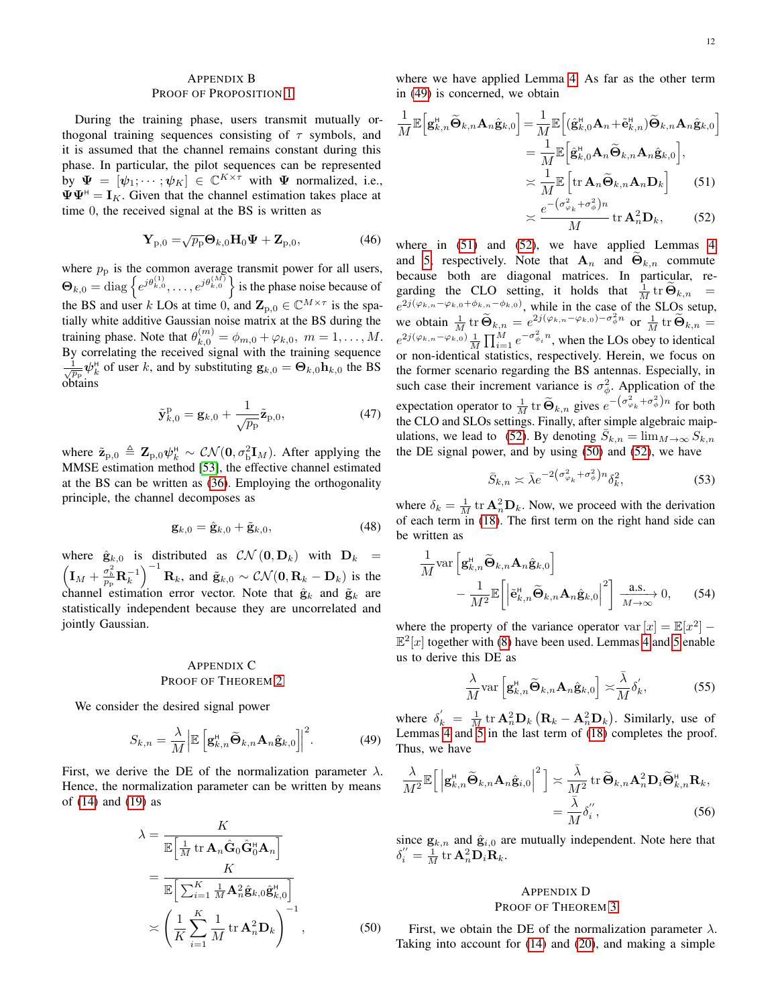# <span id="page-11-0"></span>APPENDIX B PROOF OF PROPOSITION [1](#page-3-1)

During the training phase, users transmit mutually orthogonal training sequences consisting of  $\tau$  symbols, and it is assumed that the channel remains constant during this phase. In particular, the pilot sequences can be represented by  $\Psi = [\psi_1; \cdots; \psi_K] \in \mathbb{C}^{K \times \tau}$  with  $\Psi$  normalized, i.e.,  $\Psi \Psi^{\text{H}} = I_K$ . Given that the channel estimation takes place at time 0, the received signal at the BS is written as

$$
\mathbf{Y}_{p,0} = \sqrt{p_p} \mathbf{\Theta}_{k,0} \mathbf{H}_0 \mathbf{\Psi} + \mathbf{Z}_{p,0},
$$
 (46)

where  $p<sub>p</sub>$  is the common average transmit power for all users,  $\Theta_{k,0} = \text{diag}\left\{e^{j\theta_{k,0}^{(1)}}, \ldots, e^{j\theta_{k,0}^{(M)}}\right\}$  is the phase noise because of the BS and user k LOs at time 0, and  $\mathbf{Z}_{p,0} \in \mathbb{C}^{M \times \tau}$  is the spatially white additive Gaussian noise matrix at the BS during the training phase. Note that  $\theta_{k,0}^{(m)} = \phi_{m,0} + \varphi_{k,0}, m = 1, \ldots, M$ . By correlating the received signal with the training sequence  $\frac{1}{\sqrt{p_p}} \psi_k^{\text{H}}$  of user k, and by substituting  $\mathbf{g}_{k,0} = \mathbf{\Theta}_{k,0} \mathbf{h}_{k,0}$  the BS obtains

$$
\tilde{\mathbf{y}}_{k,0}^{\mathrm{p}} = \mathbf{g}_{k,0} + \frac{1}{\sqrt{p_{\mathrm{p}}}} \tilde{\mathbf{z}}_{\mathrm{p},0},\tag{47}
$$

where  $\tilde{\mathbf{z}}_{p,0} \triangleq \mathbf{Z}_{p,0} \psi_k^{\text{H}} \sim \mathcal{CN}(\mathbf{0}, \sigma_{\text{b}}^2 \mathbf{I}_M)$ . After applying the MMSE estimation method [\[53\]](#page-14-15), the effective channel estimated at the BS can be written as [\(36\)](#page-8-3). Employing the orthogonality principle, the channel decomposes as

$$
\mathbf{g}_{k,0} = \hat{\mathbf{g}}_{k,0} + \tilde{\mathbf{g}}_{k,0},\tag{48}
$$

where  $\hat{\mathbf{g}}_{k,0}$  is distributed as  $\mathcal{CN}(\mathbf{0}, \mathbf{D}_k)$  with  $\mathbf{D}_k =$  $\left(\mathbf{I}_M + \frac{\sigma_b^2}{p_p} \mathbf{R}_k^{-1}\right)^{-1} \mathbf{R}_k$ , and  $\tilde{\mathbf{g}}_{k,0} \sim \mathcal{CN}(\mathbf{0}, \mathbf{R}_k - \mathbf{D}_k)$  is the channel estimation error vector. Note that  $\hat{\mathbf{g}}_k$  and  $\tilde{\mathbf{g}}_k$  are statistically independent because they are uncorrelated and jointly Gaussian.

# <span id="page-11-1"></span>APPENDIX C PROOF OF THEOREM [2](#page-5-3)

We consider the desired signal power

$$
S_{k,n} = \frac{\lambda}{M} \left| \mathbb{E} \left[ \mathbf{g}_{k,n}^{H} \widetilde{\mathbf{\Theta}}_{k,n} \mathbf{A}_{n} \hat{\mathbf{g}}_{k,0} \right] \right|^{2}.
$$
 (49)

First, we derive the DE of the normalization parameter  $\lambda$ . Hence, the normalization parameter can be written by means of [\(14\)](#page-4-6) and [\(19\)](#page-4-3) as

$$
\lambda = \frac{K}{\mathbb{E}\left[\frac{1}{M} \operatorname{tr} \mathbf{A}_n \hat{\mathbf{G}}_0 \hat{\mathbf{G}}_0^{\mathsf{H}} \mathbf{A}_n\right]} \\
= \frac{K}{\mathbb{E}\left[\sum_{i=1}^{K} \frac{1}{M} \mathbf{A}_n^2 \hat{\mathbf{g}}_{k,0} \hat{\mathbf{g}}_{k,0}^{\mathsf{H}}\right] \\
\times \left(\frac{1}{K} \sum_{i=1}^{K} \frac{1}{M} \operatorname{tr} \mathbf{A}_n^2 \mathbf{D}_k\right)^{-1},
$$
\n(50)

where we have applied Lemma [4.](#page-10-2) As far as the other term in [\(49\)](#page-11-3) is concerned, we obtain

<span id="page-11-4"></span>
$$
\frac{1}{M}\mathbb{E}\Big[\mathbf{g}_{k,n}^{H}\widetilde{\mathbf{\Theta}}_{k,n}\mathbf{A}_{n}\hat{\mathbf{g}}_{k,0}\Big] = \frac{1}{M}\mathbb{E}\Big[(\hat{\mathbf{g}}_{k,0}^{H}\mathbf{A}_{n}+\tilde{\mathbf{e}}_{k,n}^{H})\widetilde{\mathbf{\Theta}}_{k,n}\mathbf{A}_{n}\hat{\mathbf{g}}_{k,0}\Big] \n= \frac{1}{M}\mathbb{E}\Big[\hat{\mathbf{g}}_{k,0}^{H}\mathbf{A}_{n}\widetilde{\mathbf{\Theta}}_{k,n}\mathbf{A}_{n}\hat{\mathbf{g}}_{k,0}\Big], \n\asymp \frac{1}{M}\mathbb{E}\Big[\text{tr }\mathbf{A}_{n}\widetilde{\mathbf{\Theta}}_{k,n}\mathbf{A}_{n}\mathbf{D}_{k}\Big] \qquad (51) \n\asymp \frac{e^{-(\sigma_{\varphi_{k}}^{2}+\sigma_{\varphi}^{2})n}}{M} \text{tr }\mathbf{A}_{n}^{2}\mathbf{D}_{k}, \qquad (52)
$$

<span id="page-11-5"></span>where in  $(51)$  and  $(52)$ , we have applied Lemmas [4](#page-10-2) and [5,](#page-10-3) respectively. Note that  $A_n$  and  $\Theta_{k,n}$  commute because both are diagonal matrices. In particular, regarding the CLO setting, it holds that  $\frac{1}{M}$  tr  $\widetilde{\Theta}_{k,n}$  =  $e^{2j(\varphi_{k,n}-\varphi_{k,0}+\phi_{k,n}-\phi_{k,0})}$ , while in the case of the SLOs setup, we obtain  $\frac{1}{M}$  tr  $\widetilde{\Theta}_{k,n} = e^{2j(\varphi_{k,n}-\varphi_{k,0})-\sigma_{\phi}^2 n}$  or  $\frac{1}{M}$  tr  $\widetilde{\Theta}_{k,n} =$  $e^{2j(\varphi_{k,n}-\varphi_{k,0})}$   $\frac{1}{M}\prod_{i=1}^{M}e^{-\sigma_{\phi_i}^2 n}$ , when the LOs obey to identical or non-identical statistics, respectively. Herein, we focus on the former scenario regarding the BS antennas. Especially, in such case their increment variance is  $\sigma_{\phi}^2$ . Application of the expectation operator to  $\frac{1}{M}$  tr  $\widetilde{\Theta}_{k,n}$  gives  $e^{-(\sigma_{\varphi_k}^2 + \sigma_{\phi}^2)n}$  for both the CLO and SLOs settings. Finally, after simple algebraic maip-ulations, we lead to [\(52\)](#page-11-5). By denoting  $\overline{S}_{k,n} = \lim_{M \to \infty} S_{k,n}$ the DE signal power, and by using [\(50\)](#page-11-6) and [\(52\)](#page-11-5), we have

$$
\bar{S}_{k,n} \asymp \bar{\lambda} e^{-2\left(\sigma_{\varphi_k}^2 + \sigma_{\phi}^2\right)n} \delta_k^2,\tag{53}
$$

where  $\delta_k = \frac{1}{M}$  tr  $\mathbf{A}_n^2 \mathbf{D}_k$ . Now, we proceed with the derivation of each term in [\(18\)](#page-4-5). The first term on the right hand side can be written as

$$
\frac{1}{M} \text{var}\left[\mathbf{g}_{k,n}^{H} \widetilde{\mathbf{\Theta}}_{k,n} \mathbf{A}_{n} \hat{\mathbf{g}}_{k,0}\right] - \frac{1}{M^{2}} \mathbb{E}\left[\left|\widetilde{\mathbf{e}}_{k,n}^{H} \widetilde{\mathbf{\Theta}}_{k,n} \mathbf{A}_{n} \hat{\mathbf{g}}_{k,0}\right|^{2}\right] \xrightarrow[M \to \infty]{\text{a.s.}} 0, \quad (54)
$$

where the property of the variance operator  $var[x] = \mathbb{E}[x^2]$  –  $\mathbb{E}^{2}[x]$  together with [\(8\)](#page-3-5) have been used. Lemmas [4](#page-10-2) and [5](#page-10-3) enable us to derive this DE as

$$
\frac{\lambda}{M} \text{var}\left[\mathbf{g}_{k,n}^{\text{H}} \widetilde{\mathbf{\Theta}}_{k,n} \mathbf{A}_n \hat{\mathbf{g}}_{k,0}\right] \asymp \frac{\bar{\lambda}}{M} \delta_k',\tag{55}
$$

<span id="page-11-3"></span>where  $\delta_k' = \frac{1}{M} \text{tr } \mathbf{A}_n^2 \mathbf{D}_k \left( \mathbf{R}_k - \mathbf{A}_n^2 \mathbf{D}_k \right)$ . Similarly, use of Lemmas  $4$  and  $5$  in the last term of  $(18)$  completes the proof. Thus, we have

$$
\frac{\lambda}{M^2} \mathbb{E}\Big[\Big|\mathbf{g}_{k,n}^{\mathsf{H}}\widetilde{\mathbf{\Theta}}_{k,n}\mathbf{A}_n\widehat{\mathbf{g}}_{i,0}\Big|^2\Big] \asymp \frac{\bar{\lambda}}{M^2} \operatorname{tr}\widetilde{\mathbf{\Theta}}_{k,n}\mathbf{A}_n^2 \mathbf{D}_i \widetilde{\mathbf{\Theta}}_{k,n}^{\mathsf{H}} \mathbf{R}_k, \n= \frac{\bar{\lambda}}{M} \delta_i'', \tag{56}
$$

since  $\mathbf{g}_{k,n}$  and  $\hat{\mathbf{g}}_{i,0}$  are mutually independent. Note here that  $\delta_i^{\prime\prime} = \frac{1}{M} \text{tr } \mathbf{A}_n^2 \mathbf{D}_i \mathbf{R}_k.$ 

# <span id="page-11-2"></span>APPENDIX D PROOF OF THEOREM [3](#page-6-1)

<span id="page-11-6"></span>First, we obtain the DE of the normalization parameter  $\lambda$ . Taking into account for [\(14\)](#page-4-6) and [\(20\)](#page-4-7), and making a simple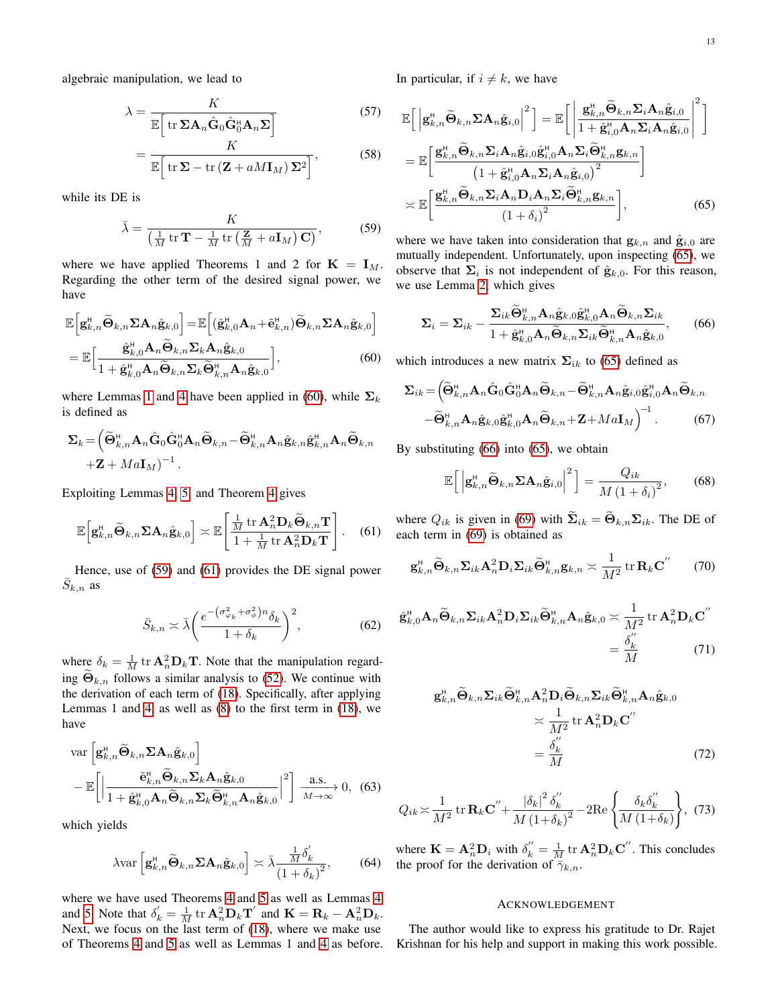algebraic manipulation, we lead to

$$
\lambda = \frac{K}{\mathbb{E}\left[\text{tr }\Sigma \mathbf{A}_n \hat{\mathbf{G}}_0 \hat{\mathbf{G}}_0^{\text{H}} \mathbf{A}_n \Sigma\right]}
$$
(57)  

$$
= \frac{K}{K}
$$
(58)

$$
= \frac{1}{\mathbb{E}\Big[\mathrm{tr}\,\Sigma - \mathrm{tr}\,\big(\mathbf{Z} + aM\mathbf{I}_M\big)\,\Sigma^2\Big]},\tag{58}
$$

while its DE is

$$
\bar{\lambda} = \frac{K}{\left(\frac{1}{M} \operatorname{tr} \mathbf{T} - \frac{1}{M} \operatorname{tr} \left(\frac{\mathbf{Z}}{M} + a \mathbf{I}_M\right) \mathbf{C}\right)},\tag{59}
$$

where we have applied Theorems 1 and 2 for  $K = I_M$ . Regarding the other term of the desired signal power, we have

$$
\mathbb{E}\Big[\mathbf{g}_{k,n}^{\mathsf{H}}\widetilde{\mathbf{\Theta}}_{k,n}\boldsymbol{\Sigma}\mathbf{A}_{n}\hat{\mathbf{g}}_{k,0}\Big] = \mathbb{E}\Big[(\hat{\mathbf{g}}_{k,0}^{\mathsf{H}}\mathbf{A}_{n} + \tilde{\mathbf{e}}_{k,n}^{\mathsf{H}})\widetilde{\mathbf{\Theta}}_{k,n}\boldsymbol{\Sigma}\mathbf{A}_{n}\hat{\mathbf{g}}_{k,0}\Big] \n= \mathbb{E}\Big[\frac{\hat{\mathbf{g}}_{k,0}^{\mathsf{H}}\mathbf{A}_{n}\widetilde{\mathbf{\Theta}}_{k,n}\boldsymbol{\Sigma}_{k}\mathbf{A}_{n}\hat{\mathbf{g}}_{k,0}}{1 + \hat{\mathbf{g}}_{k,0}^{\mathsf{H}}\mathbf{A}_{n}\widetilde{\mathbf{\Theta}}_{k,n}\boldsymbol{\Sigma}_{k}\widetilde{\mathbf{\Theta}}_{k,n}^{\mathsf{H}}\mathbf{A}_{n}\hat{\mathbf{g}}_{k,0}\Big],
$$
\n(60)

where Lemmas [1](#page-10-4) and [4](#page-10-2) have been applied in [\(60\)](#page-12-0), while  $\Sigma_k$ is defined as

$$
\Sigma_k = \left( \widetilde{\Theta}_{k,n}^{\textrm{H}} \mathbf{A}_n \hat{\mathbf{G}}_0 \hat{\mathbf{G}}_0^{\textrm{H}} \mathbf{A}_n \widetilde{\Theta}_{k,n} - \widetilde{\Theta}_{k,n}^{\textrm{H}} \mathbf{A}_n \hat{\mathbf{g}}_{k,n} \hat{\mathbf{g}}_{k,n}^{\textrm{H}} \mathbf{A}_n \widetilde{\Theta}_{k,n} \right. \\ \left. + \mathbf{Z} + M a \mathbf{I}_M \right)^{-1}.
$$

Exploiting Lemmas [4,](#page-10-2) [5,](#page-10-3) and Theorem [4](#page-10-0) gives

$$
\mathbb{E}\left[\mathbf{g}_{k,n}^{H}\widetilde{\mathbf{\Theta}}_{k,n}\boldsymbol{\Sigma}\mathbf{A}_{n}\hat{\mathbf{g}}_{k,0}\right] \asymp \mathbb{E}\left[\frac{\frac{1}{M}\mathrm{tr}\,\mathbf{A}_{n}^{2}\mathbf{D}_{k}\widetilde{\mathbf{\Theta}}_{k,n}\mathbf{T}}{1+\frac{1}{M}\mathrm{tr}\,\mathbf{A}_{n}^{2}\mathbf{D}_{k}\mathbf{T}}\right].
$$
 (61)

Hence, use of [\(59\)](#page-12-1) and [\(61\)](#page-12-2) provides the DE signal power  $\bar{S}_{k,n}$  as

$$
\bar{S}_{k,n} \asymp \bar{\lambda} \left( \frac{e^{-\left(\sigma_{\varphi_k}^2 + \sigma_{\phi}^2\right)n} \delta_k}{1 + \delta_k} \right)^2, \tag{62}
$$

where  $\delta_k = \frac{1}{M} \text{ tr } \mathbf{A}_n^2 \mathbf{D}_k \mathbf{T}$ . Note that the manipulation regarding  $\widetilde{\Theta}_{k,n}$  follows a similar analysis to [\(52\)](#page-11-5). We continue with the derivation of each term of [\(18\)](#page-4-5). Specifically, after applying Lemmas 1 and [4,](#page-10-2) as well as [\(8\)](#page-3-5) to the first term in [\(18\)](#page-4-5), we have

$$
\operatorname{var}\left[\mathbf{g}_{k,n}^{H}\widetilde{\mathbf{\Theta}}_{k,n}\boldsymbol{\Sigma}\mathbf{A}_{n}\hat{\mathbf{g}}_{k,0}\right]
$$

$$
-\mathbb{E}\left[\left|\frac{\tilde{\mathbf{e}}_{k,n}^{H}\widetilde{\mathbf{\Theta}}_{k,n}\boldsymbol{\Sigma}_{k}\mathbf{A}_{n}\hat{\mathbf{g}}_{k,0}}{1+\hat{\mathbf{g}}_{k,0}^{H}\mathbf{A}_{n}\widetilde{\mathbf{\Theta}}_{k,n}\boldsymbol{\Sigma}_{k}\widetilde{\mathbf{\Theta}}_{k,n}^{H}\mathbf{A}_{n}\hat{\mathbf{g}}_{k,0}}\right|^{2}\right]\xrightarrow[M\to\infty]{}0,\tag{63}
$$

which yields

$$
\lambda \text{var}\left[\mathbf{g}_{k,n}^{\text{H}}\widetilde{\mathbf{\Theta}}_{k,n}\boldsymbol{\Sigma}\mathbf{A}_{n}\hat{\mathbf{g}}_{k,0}\right] \asymp \bar{\lambda} \frac{\frac{1}{M}\delta_{k}'}{\left(1+\delta_{k}\right)^{2}},\qquad(64)
$$

where we have used Theorems [4](#page-10-0) and [5](#page-10-1) as well as Lemmas [4](#page-10-2) and [5.](#page-10-3) Note that  $\delta_k' = \frac{1}{M} \text{ tr } \mathbf{A}_n^2 \mathbf{D}_k \mathbf{T}'$  and  $\mathbf{K} = \mathbf{R}_k - \mathbf{A}_n^2 \mathbf{D}_k$ . Next, we focus on the last term of [\(18\)](#page-4-5), where we make use of Theorems [4](#page-10-0) and [5](#page-10-1) as well as Lemmas 1 and [4](#page-10-2) as before. In particular, if  $i \neq k$ , we have

$$
\mathbb{E}\Big[\Big|\mathbf{g}_{k,n}^{H}\widetilde{\mathbf{\Theta}}_{k,n}\boldsymbol{\Sigma}\mathbf{A}_{n}\hat{\mathbf{g}}_{i,0}\Big|^{2}\Big] = \mathbb{E}\Big[\Big|\frac{\mathbf{g}_{k,n}^{H}\widetilde{\mathbf{\Theta}}_{k,n}\boldsymbol{\Sigma}_{i}\mathbf{A}_{n}\hat{\mathbf{g}}_{i,0}}{1+\hat{\mathbf{g}}_{i,0}^{H}\mathbf{A}_{n}\boldsymbol{\Sigma}_{i}\mathbf{A}_{n}\hat{\mathbf{g}}_{i,0}}\Big|^{2}\Big]
$$
\n
$$
= \mathbb{E}\Big[\frac{\mathbf{g}_{k,n}^{H}\widetilde{\mathbf{\Theta}}_{k,n}\boldsymbol{\Sigma}_{i}\mathbf{A}_{n}\hat{\mathbf{g}}_{i,0}\hat{\mathbf{g}}_{i,0}^{H}\mathbf{A}_{n}\boldsymbol{\Sigma}_{i}\widetilde{\mathbf{\Theta}}_{k,n}^{H}\boldsymbol{\Sigma}_{i}\mathbf{A}_{n}\hat{\mathbf{g}}_{i,0}}{(1+\hat{\mathbf{g}}_{i,0}^{H}\mathbf{A}_{n}\boldsymbol{\Sigma}_{i}\mathbf{A}_{n}\hat{\mathbf{g}}_{i,0})^{2}}\Big]
$$
\n
$$
\approx \mathbb{E}\Big[\frac{\mathbf{g}_{k,n}^{H}\widetilde{\mathbf{\Theta}}_{k,n}\boldsymbol{\Sigma}_{i}\mathbf{A}_{n}\boldsymbol{\Sigma}_{i}\mathbf{A}_{n}\boldsymbol{\Sigma}_{i}\widetilde{\mathbf{\Theta}}_{k,n}^{H}\mathbf{g}_{k,n}}{(1+\delta_{i})^{2}}\Big],\tag{65}
$$

<span id="page-12-1"></span>where we have taken into consideration that  $g_{k,n}$  and  $\hat{g}_{i,0}$  are mutually independent. Unfortunately, upon inspecting [\(65\)](#page-12-3), we observe that  $\Sigma_i$  is not independent of  $\hat{\mathbf{g}}_{k,0}$ . For this reason, we use Lemma [2,](#page-10-5) which gives

<span id="page-12-4"></span><span id="page-12-3"></span>
$$
\Sigma_{i} = \Sigma_{ik} - \frac{\Sigma_{ik}\tilde{\Theta}_{k,n}^{\text{H}}\mathbf{A}_{n}\hat{\mathbf{g}}_{k,0}\hat{\mathbf{g}}_{k,0}^{\text{H}}\mathbf{A}_{n}\tilde{\Theta}_{k,n}\Sigma_{ik}}{1 + \hat{\mathbf{g}}_{k,0}^{\text{H}}\mathbf{A}_{n}\tilde{\Theta}_{k,n}\Sigma_{ik}\tilde{\Theta}_{k,n}^{\text{H}}\mathbf{A}_{n}\hat{\mathbf{g}}_{k,0}},
$$
 (66)

<span id="page-12-0"></span>which introduces a new matrix  $\Sigma_{ik}$  to [\(65\)](#page-12-3) defined as

$$
\Sigma_{ik} = \left(\widetilde{\Theta}_{k,n}^{\mathrm{H}} \mathbf{A}_n \hat{\mathbf{G}}_0 \hat{\mathbf{G}}_0^{\mathrm{H}} \mathbf{A}_n \widetilde{\Theta}_{k,n} - \widetilde{\Theta}_{k,n}^{\mathrm{H}} \mathbf{A}_n \hat{\mathbf{g}}_{i,0} \hat{\mathbf{g}}_{i,0}^{\mathrm{H}} \mathbf{A}_n \widetilde{\Theta}_{k,n} - \widetilde{\Theta}_{k,n}^{\mathrm{H}} \mathbf{A}_n \hat{\mathbf{g}}_{k,0} \hat{\mathbf{g}}_{k,0}^{\mathrm{H}} \mathbf{A}_n \widetilde{\Theta}_{k,n} + \mathbf{Z} + Ma \mathbf{I}_M \right)^{-1}.
$$
 (67)

By substituting [\(66\)](#page-12-4) into [\(65\)](#page-12-3), we obtain

$$
\mathbb{E}\left[\left|\mathbf{g}_{k,n}^{H}\widetilde{\mathbf{\Theta}}_{k,n}\boldsymbol{\Sigma}\mathbf{A}_{n}\hat{\mathbf{g}}_{i,0}\right|^{2}\right]=\frac{Q_{ik}}{M\left(1+\delta_{i}\right)^{2}},\qquad(68)
$$

<span id="page-12-2"></span>where  $Q_{ik}$  is given in [\(69\)](#page-13-28) with  $\widetilde{\Sigma}_{ik} = \widetilde{\Theta}_{k,n} \Sigma_{ik}$ . The DE of each term in [\(69\)](#page-13-28) is obtained as

$$
\mathbf{g}_{k,n}^{\mathrm{H}}\widetilde{\mathbf{\Theta}}_{k,n}\mathbf{\Sigma}_{ik}\mathbf{A}_{n}^{2}\mathbf{D}_{i}\mathbf{\Sigma}_{ik}\widetilde{\mathbf{\Theta}}_{k,n}^{\mathrm{H}}\mathbf{g}_{k,n}\asymp\frac{1}{M^{2}}\operatorname{tr}\mathbf{R}_{k}\mathbf{C}^{''}\qquad(70)
$$

$$
\hat{\mathbf{g}}_{k,0}^{\mathrm{H}} \mathbf{A}_{n} \widetilde{\mathbf{\Theta}}_{k,n} \mathbf{\Sigma}_{ik} \mathbf{A}_{n}^{2} \mathbf{D}_{i} \mathbf{\Sigma}_{ik} \widetilde{\mathbf{\Theta}}_{k,n}^{\mathrm{H}} \mathbf{A}_{n} \hat{\mathbf{g}}_{k,0} \asymp \frac{1}{M^{2}} \operatorname{tr} \mathbf{A}_{n}^{2} \mathbf{D}_{k} \mathbf{C}^{''}
$$

$$
= \frac{\delta_{k}^{''}}{M} \tag{71}
$$

$$
\mathbf{g}_{k,n}^{\mathrm{H}}\widetilde{\mathbf{\Theta}}_{k,n}\mathbf{\Sigma}_{ik}\widetilde{\mathbf{\Theta}}_{k,n}^{\mathrm{H}}\mathbf{A}_{n}^{2}\mathbf{D}_{i}\widetilde{\mathbf{\Theta}}_{k,n}\mathbf{\Sigma}_{ik}\widetilde{\mathbf{\Theta}}_{k,n}^{\mathrm{H}}\mathbf{A}_{n}\hat{\mathbf{g}}_{k,0}
$$

$$
\times \frac{1}{M^{2}} \operatorname{tr} \mathbf{A}_{n}^{2}\mathbf{D}_{k}\mathbf{C}^{''}
$$

$$
= \frac{\delta_{k}^{''}}{M}
$$
(72)

$$
Q_{ik} \asymp \frac{1}{M^2} \operatorname{tr} \mathbf{R}_k \mathbf{C}'' + \frac{|\delta_k|^2 \delta_k''}{M \left(1 + \delta_k\right)^2} - 2 \operatorname{Re} \left\{ \frac{\delta_k \delta_k''}{M \left(1 + \delta_k\right)} \right\}, \tag{73}
$$

where  $\mathbf{K} = \mathbf{A}_n^2 \mathbf{D}_i$  with  $\delta_k'' = \frac{1}{M} \text{tr } \mathbf{A}_n^2 \mathbf{D}_k \mathbf{C}''$ . This concludes the proof for the derivation of  $\bar{\gamma}_{k,n}$ .

#### ACKNOWLEDGEMENT

The author would like to express his gratitude to Dr. Rajet Krishnan for his help and support in making this work possible.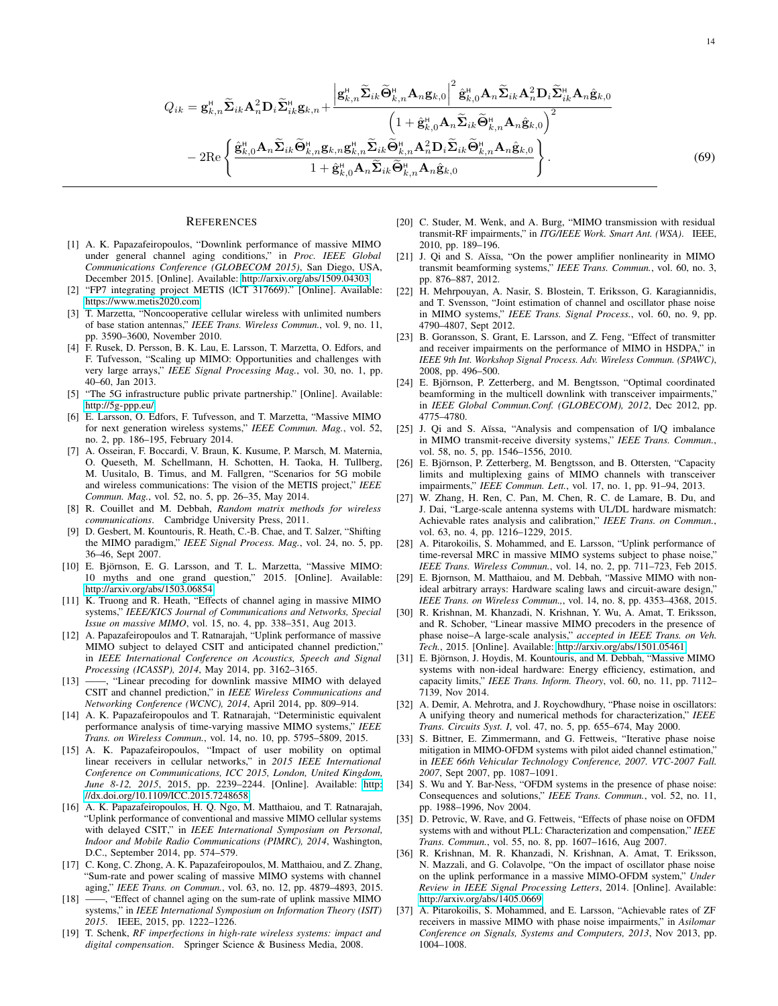$$
Q_{ik} = \mathbf{g}_{k,n}^{\mathsf{H}} \widetilde{\mathbf{\Sigma}}_{ik} \mathbf{A}_{n}^{2} \mathbf{D}_{i} \widetilde{\mathbf{\Sigma}}_{ik}^{\mathsf{H}} \mathbf{g}_{k,n} + \frac{\left| \mathbf{g}_{k,n}^{\mathsf{H}} \widetilde{\mathbf{\Sigma}}_{ik} \widetilde{\mathbf{\Theta}}_{k,n}^{\mathsf{H}} \mathbf{A}_{n} \mathbf{g}_{k,0} \right|^{2} \hat{\mathbf{g}}_{k,0}^{\mathsf{H}} \mathbf{A}_{n} \widetilde{\mathbf{\Sigma}}_{ik} \mathbf{A}_{n}^{2} \mathbf{D}_{i} \widetilde{\mathbf{\Sigma}}_{ik}^{\mathsf{H}} \mathbf{A}_{n} \hat{\mathbf{g}}_{k,0} \right|}{\left( 1 + \hat{\mathbf{g}}_{k,0}^{\mathsf{H}} \mathbf{A}_{n} \widetilde{\mathbf{\Sigma}}_{ik} \widetilde{\mathbf{\Theta}}_{k,n}^{\mathsf{H}} \mathbf{A}_{n} \hat{\mathbf{g}}_{k,0} \right)^{2}}
$$

$$
- 2 \text{Re} \left\{ \frac{\hat{\mathbf{g}}_{k,0}^{\mathsf{H}} \mathbf{A}_{n} \widetilde{\mathbf{\Sigma}}_{ik} \widetilde{\mathbf{\Theta}}_{k,n}^{\mathsf{H}} \mathbf{g}_{k,n} \mathbf{g}_{k,n}^{\mathsf{H}} \widetilde{\mathbf{\Sigma}}_{ik} \widetilde{\mathbf{\Theta}}_{k,n}^{\mathsf{H}} \mathbf{A}_{n}^{2} \mathbf{D}_{i} \widetilde{\mathbf{\Sigma}}_{ik} \widetilde{\mathbf{\Theta}}_{k,n}^{\mathsf{H}} \mathbf{A}_{n} \hat{\mathbf{g}}_{k,0} \right\}.
$$

$$
1 + \hat{\mathbf{g}}_{k,0}^{\mathsf{H}} \mathbf{A}_{n} \widetilde{\mathbf{\Sigma}}_{ik} \widetilde{\mathbf{\Theta}}_{k,n}^{\mathsf{H}} \mathbf{A}_{n} \hat{\mathbf{g}}_{k,0} \right\}.
$$

$$
(69)
$$

#### **REFERENCES**

- <span id="page-13-5"></span>[1] A. K. Papazafeiropoulos, "Downlink performance of massive MIMO under general channel aging conditions," in *Proc. IEEE Global Communications Conference (GLOBECOM 2015)*, San Diego, USA, December 2015. [Online]. Available:<http://arxiv.org/abs/1509.04303>
- <span id="page-13-0"></span>[2] "FP7 integrating project METIS (lCT 317669)." [Online]. Available: <https://www.metis2020.com>
- <span id="page-13-1"></span>[3] T. Marzetta, "Noncooperative cellular wireless with unlimited numbers of base station antennas," *IEEE Trans. Wireless Commun.*, vol. 9, no. 11, pp. 3590–3600, November 2010.
- <span id="page-13-2"></span>[4] F. Rusek, D. Persson, B. K. Lau, E. Larsson, T. Marzetta, O. Edfors, and F. Tufvesson, "Scaling up MIMO: Opportunities and challenges with very large arrays," *IEEE Signal Processing Mag.*, vol. 30, no. 1, pp. 40–60, Jan 2013.
- <span id="page-13-3"></span>[5] "The 5G infrastructure public private partnership." [Online]. Available: <http://5g-ppp.eu/>
- [6] E. Larsson, O. Edfors, F. Tufvesson, and T. Marzetta, "Massive MIMO for next generation wireless systems," *IEEE Commun. Mag.*, vol. 52, no. 2, pp. 186–195, February 2014.
- <span id="page-13-4"></span>[7] A. Osseiran, F. Boccardi, V. Braun, K. Kusume, P. Marsch, M. Maternia, O. Queseth, M. Schellmann, H. Schotten, H. Taoka, H. Tullberg, M. Uusitalo, B. Timus, and M. Fallgren, "Scenarios for 5G mobile and wireless communications: The vision of the METIS project," *IEEE Commun. Mag.*, vol. 52, no. 5, pp. 26–35, May 2014.
- <span id="page-13-6"></span>[8] R. Couillet and M. Debbah, *Random matrix methods for wireless communications*. Cambridge University Press, 2011.
- <span id="page-13-7"></span>[9] D. Gesbert, M. Kountouris, R. Heath, C.-B. Chae, and T. Salzer, "Shifting the MIMO paradigm," *IEEE Signal Process. Mag.*, vol. 24, no. 5, pp. 36–46, Sept 2007.
- <span id="page-13-8"></span>[10] E. Björnson, E. G. Larsson, and T. L. Marzetta, "Massive MIMO: 10 myths and one grand question," 2015. [Online]. Available: <http://arxiv.org/abs/1503.06854>
- <span id="page-13-9"></span>[11] K. Truong and R. Heath, "Effects of channel aging in massive MIMO systems," *IEEE/KICS Journal of Communications and Networks, Special Issue on massive MIMO*, vol. 15, no. 4, pp. 338–351, Aug 2013.
- [12] A. Papazafeiropoulos and T. Ratnarajah, "Uplink performance of massive MIMO subject to delayed CSIT and anticipated channel prediction," in *IEEE International Conference on Acoustics, Speech and Signal Processing (ICASSP), 2014*, May 2014, pp. 3162–3165.
- <span id="page-13-27"></span>[13] ——, "Linear precoding for downlink massive MIMO with delayed CSIT and channel prediction," in *IEEE Wireless Communications and Networking Conference (WCNC), 2014*, April 2014, pp. 809–914.
- <span id="page-13-11"></span>[14] A. K. Papazafeiropoulos and T. Ratnarajah, "Deterministic equivalent performance analysis of time-varying massive MIMO systems," *IEEE Trans. on Wireless Commun.*, vol. 14, no. 10, pp. 5795–5809, 2015.
- <span id="page-13-12"></span>[15] A. K. Papazafeiropoulos, "Impact of user mobility on optimal linear receivers in cellular networks," in *2015 IEEE International Conference on Communications, ICC 2015, London, United Kingdom, June 8-12, 2015*, 2015, pp. 2239–2244. [Online]. Available: [http:](http://dx.doi.org/10.1109/ICC.2015.7248658) [//dx.doi.org/10.1109/ICC.2015.7248658](http://dx.doi.org/10.1109/ICC.2015.7248658)
- <span id="page-13-13"></span>[16] A. K. Papazafeiropoulos, H. Q. Ngo, M. Matthaiou, and T. Ratnarajah, "Uplink performance of conventional and massive MIMO cellular systems with delayed CSIT," in *IEEE International Symposium on Personal, Indoor and Mobile Radio Communications (PIMRC), 2014*, Washington, D.C., September 2014, pp. 574–579.
- [17] C. Kong, C. Zhong, A. K. Papazafeiropoulos, M. Matthaiou, and Z. Zhang, "Sum-rate and power scaling of massive MIMO systems with channel aging," *IEEE Trans. on Commun.*, vol. 63, no. 12, pp. 4879–4893, 2015.
- <span id="page-13-10"></span>[18] ——, "Effect of channel aging on the sum-rate of uplink massive MIMO systems," in *IEEE International Symposium on Information Theory (ISIT) 2015*. IEEE, 2015, pp. 1222–1226.
- <span id="page-13-14"></span>[19] T. Schenk, *RF imperfections in high-rate wireless systems: impact and digital compensation*. Springer Science & Business Media, 2008.
- <span id="page-13-28"></span>[20] C. Studer, M. Wenk, and A. Burg, "MIMO transmission with residual transmit-RF impairments," in *ITG/IEEE Work. Smart Ant. (WSA)*. IEEE, 2010, pp. 189–196.
- [21] J. Qi and S. Aïssa, "On the power amplifier nonlinearity in MIMO transmit beamforming systems," *IEEE Trans. Commun.*, vol. 60, no. 3, pp. 876–887, 2012.
- <span id="page-13-16"></span>[22] H. Mehrpouyan, A. Nasir, S. Blostein, T. Eriksson, G. Karagiannidis, and T. Svensson, "Joint estimation of channel and oscillator phase noise in MIMO systems," *IEEE Trans. Signal Process.*, vol. 60, no. 9, pp. 4790–4807, Sept 2012.
- [23] B. Goransson, S. Grant, E. Larsson, and Z. Feng, "Effect of transmitter and receiver impairments on the performance of MIMO in HSDPA," in *IEEE 9th Int. Workshop Signal Process. Adv. Wireless Commun. (SPAWC)*, 2008, pp. 496–500.
- [24] E. Björnson, P. Zetterberg, and M. Bengtsson, "Optimal coordinated beamforming in the multicell downlink with transceiver impairments, in *IEEE Global Commun.Conf. (GLOBECOM), 2012*, Dec 2012, pp. 4775–4780.
- [25] J. Qi and S. Aïssa, "Analysis and compensation of I/Q imbalance in MIMO transmit-receive diversity systems," *IEEE Trans. Commun.*, vol. 58, no. 5, pp. 1546–1556, 2010.
- <span id="page-13-19"></span>[26] E. Björnson, P. Zetterberg, M. Bengtsson, and B. Ottersten, "Capacity limits and multiplexing gains of MIMO channels with transceiver impairments," *IEEE Commun. Lett.*, vol. 17, no. 1, pp. 91–94, 2013.
- <span id="page-13-26"></span>[27] W. Zhang, H. Ren, C. Pan, M. Chen, R. C. de Lamare, B. Du, and J. Dai, "Large-scale antenna systems with UL/DL hardware mismatch: Achievable rates analysis and calibration," *IEEE Trans. on Commun.*, vol. 63, no. 4, pp. 1216–1229, 2015.
- <span id="page-13-17"></span>[28] A. Pitarokoilis, S. Mohammed, and E. Larsson, "Uplink performance of time-reversal MRC in massive MIMO systems subject to phase noise," *IEEE Trans. Wireless Commun.*, vol. 14, no. 2, pp. 711–723, Feb 2015.
- <span id="page-13-20"></span>[29] E. Bjornson, M. Matthaiou, and M. Debbah, "Massive MIMO with nonideal arbitrary arrays: Hardware scaling laws and circuit-aware design,' *IEEE Trans. on Wireless Commun.,*, vol. 14, no. 8, pp. 4353–4368, 2015.
- <span id="page-13-18"></span>[30] R. Krishnan, M. Khanzadi, N. Krishnan, Y. Wu, A. Amat, T. Eriksson, and R. Schober, "Linear massive MIMO precoders in the presence of phase noise–A large-scale analysis," *accepted in IEEE Trans. on Veh. Tech.*, 2015. [Online]. Available:<http://arxiv.org/abs/1501.05461>
- <span id="page-13-21"></span>[31] E. Björnson, J. Hoydis, M. Kountouris, and M. Debbah, "Massive MIMO systems with non-ideal hardware: Energy efficiency, estimation, and capacity limits," *IEEE Trans. Inform. Theory*, vol. 60, no. 11, pp. 7112– 7139, Nov 2014.
- <span id="page-13-22"></span>[32] A. Demir, A. Mehrotra, and J. Roychowdhury, "Phase noise in oscillators: A unifying theory and numerical methods for characterization," *IEEE Trans. Circuits Syst. I*, vol. 47, no. 5, pp. 655–674, May 2000.
- <span id="page-13-23"></span>[33] S. Bittner, E. Zimmermann, and G. Fettweis, "Iterative phase noise mitigation in MIMO-OFDM systems with pilot aided channel estimation,' in *IEEE 66th Vehicular Technology Conference, 2007. VTC-2007 Fall. 2007*, Sept 2007, pp. 1087–1091.
- <span id="page-13-25"></span>[34] S. Wu and Y. Bar-Ness, "OFDM systems in the presence of phase noise: Consequences and solutions," *IEEE Trans. Commun.*, vol. 52, no. 11, pp. 1988–1996, Nov 2004.
- [35] D. Petrovic, W. Rave, and G. Fettweis, "Effects of phase noise on OFDM systems with and without PLL: Characterization and compensation," *IEEE Trans. Commun.*, vol. 55, no. 8, pp. 1607–1616, Aug 2007.
- <span id="page-13-24"></span>[36] R. Krishnan, M. R. Khanzadi, N. Krishnan, A. Amat, T. Eriksson, N. Mazzali, and G. Colavolpe, "On the impact of oscillator phase noise on the uplink performance in a massive MIMO-OFDM system," *Under Review in IEEE Signal Processing Letters*, 2014. [Online]. Available: <http://arxiv.org/abs/1405.0669>
- <span id="page-13-15"></span>[37] A. Pitarokoilis, S. Mohammed, and E. Larsson, "Achievable rates of ZF receivers in massive MIMO with phase noise impairments," in *Asilomar Conference on Signals, Systems and Computers, 2013*, Nov 2013, pp. 1004–1008.